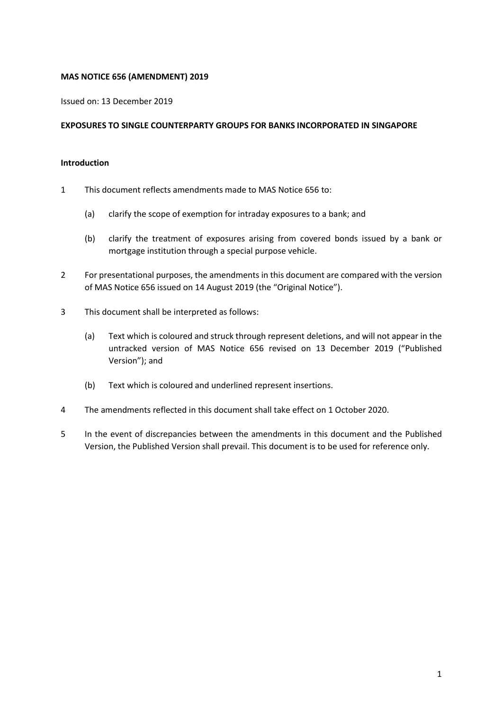#### **MAS NOTICE 656 (AMENDMENT) 2019**

Issued on: 13 December 2019

#### **EXPOSURES TO SINGLE COUNTERPARTY GROUPS FOR BANKS INCORPORATED IN SINGAPORE**

## **Introduction**

- 1 This document reflects amendments made to MAS Notice 656 to:
	- (a) clarify the scope of exemption for intraday exposures to a bank; and
	- (b) clarify the treatment of exposures arising from covered bonds issued by a bank or mortgage institution through a special purpose vehicle.
- 2 For presentational purposes, the amendments in this document are compared with the version of MAS Notice 656 issued on 14 August 2019 (the "Original Notice").
- 3 This document shall be interpreted as follows:
	- (a) Text which is coloured and struck through represent deletions, and will not appear in the untracked version of MAS Notice 656 revised on 13 December 2019 ("Published Version"); and
	- (b) Text which is coloured and underlined represent insertions.
- 4 The amendments reflected in this document shall take effect on 1 October 2020.
- 5 In the event of discrepancies between the amendments in this document and the Published Version, the Published Version shall prevail. This document is to be used for reference only.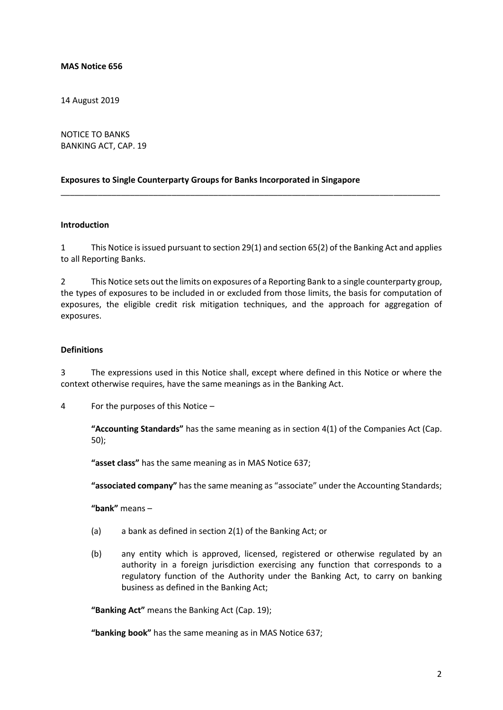#### **MAS Notice 656**

14 August 2019

NOTICE TO BANKS BANKING ACT, CAP. 19

#### **Exposures to Single Counterparty Groups for Banks Incorporated in Singapore**

#### **Introduction**

1 This Notice is issued pursuant to section 29(1) and section 65(2) of the Banking Act and applies to all Reporting Banks.

\_\_\_\_\_\_\_\_\_\_\_\_\_\_\_\_\_\_\_\_\_\_\_\_\_\_\_\_\_\_\_\_\_\_\_\_\_\_\_\_\_\_\_\_\_\_\_\_\_\_\_\_\_\_\_\_\_\_\_\_\_\_\_\_\_\_\_\_\_\_\_\_\_\_\_\_\_\_\_\_\_\_

2 This Notice sets out the limits on exposures of a Reporting Bank to a single counterparty group, the types of exposures to be included in or excluded from those limits, the basis for computation of exposures, the eligible credit risk mitigation techniques, and the approach for aggregation of exposures.

#### **Definitions**

3 The expressions used in this Notice shall, except where defined in this Notice or where the context otherwise requires, have the same meanings as in the Banking Act.

4 For the purposes of this Notice –

**"Accounting Standards"** has the same meaning as in section 4(1) of the Companies Act (Cap. 50);

**"asset class"** has the same meaning as in MAS Notice 637;

**"associated company"** has the same meaning as "associate" under the Accounting Standards;

**"bank"** means –

- (a) a bank as defined in section 2(1) of the Banking Act; or
- (b) any entity which is approved, licensed, registered or otherwise regulated by an authority in a foreign jurisdiction exercising any function that corresponds to a regulatory function of the Authority under the Banking Act, to carry on banking business as defined in the Banking Act;

**"Banking Act"** means the Banking Act (Cap. 19);

**"banking book"** has the same meaning as in MAS Notice 637;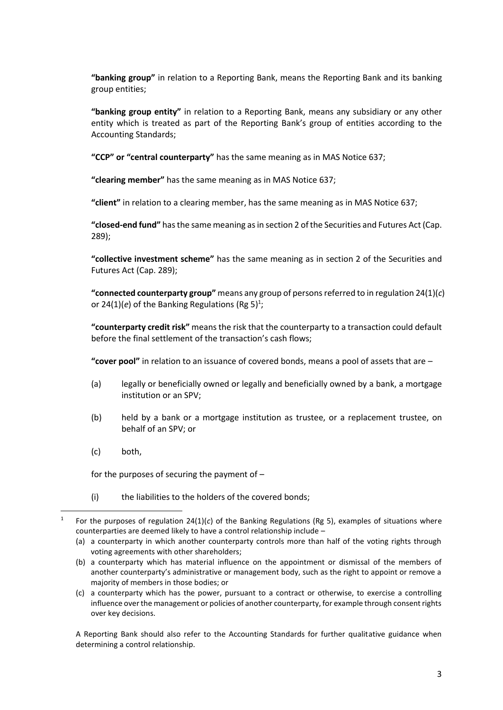**"banking group"** in relation to a Reporting Bank, means the Reporting Bank and its banking group entities;

**"banking group entity"** in relation to a Reporting Bank, means any subsidiary or any other entity which is treated as part of the Reporting Bank's group of entities according to the Accounting Standards;

**"CCP" or "central counterparty"** has the same meaning as in MAS Notice 637;

**"clearing member"** has the same meaning as in MAS Notice 637;

**"client"** in relation to a clearing member, has the same meaning as in MAS Notice 637;

**"closed-end fund"** has the same meaning as in section 2 of the Securities and Futures Act (Cap. 289);

**"collective investment scheme"** has the same meaning as in section 2 of the Securities and Futures Act (Cap. 289);

**"connected counterparty group"** means any group of persons referred to in regulation 24(1)(*c*) or 24(1)(*e*) of the Banking Regulations (Rg 5)<sup>1</sup>;

**"counterparty credit risk"** means the risk that the counterparty to a transaction could default before the final settlement of the transaction's cash flows;

**"cover pool"** in relation to an issuance of covered bonds, means a pool of assets that are –

- (a) legally or beneficially owned or legally and beneficially owned by a bank, a mortgage institution or an SPV;
- (b) held by a bank or a mortgage institution as trustee, or a replacement trustee, on behalf of an SPV; or
- (c) both,

**.** 

for the purposes of securing the payment of –

(i) the liabilities to the holders of the covered bonds;

A Reporting Bank should also refer to the Accounting Standards for further qualitative guidance when determining a control relationship.

<sup>1</sup> For the purposes of regulation 24(1)(*c*) of the Banking Regulations (Rg 5), examples of situations where counterparties are deemed likely to have a control relationship include –

<sup>(</sup>a) a counterparty in which another counterparty controls more than half of the voting rights through voting agreements with other shareholders;

<sup>(</sup>b) a counterparty which has material influence on the appointment or dismissal of the members of another counterparty's administrative or management body, such as the right to appoint or remove a majority of members in those bodies; or

<sup>(</sup>c) a counterparty which has the power, pursuant to a contract or otherwise, to exercise a controlling influence over the management or policies of another counterparty, for example through consent rights over key decisions.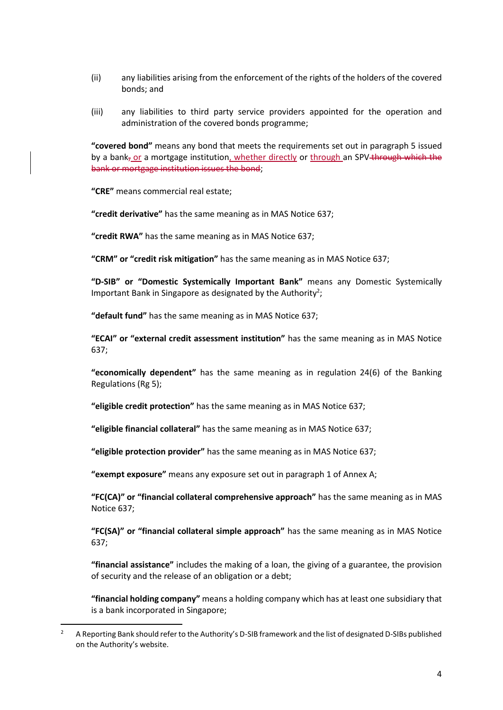- (ii) any liabilities arising from the enforcement of the rights of the holders of the covered bonds; and
- (iii) any liabilities to third party service providers appointed for the operation and administration of the covered bonds programme;

**"covered bond"** means any bond that meets the requirements set out in paragraph 5 issued by a bank, or a mortgage institution, whether directly or through an SPV through which the bank or mortgage institution issues the bond;

**"CRE"** means commercial real estate;

**.** 

**"credit derivative"** has the same meaning as in MAS Notice 637;

**"credit RWA"** has the same meaning as in MAS Notice 637;

**"CRM" or "credit risk mitigation"** has the same meaning as in MAS Notice 637;

**"D-SIB" or "Domestic Systemically Important Bank"** means any Domestic Systemically Important Bank in Singapore as designated by the Authority<sup>2</sup>;

**"default fund"** has the same meaning as in MAS Notice 637;

**"ECAI" or "external credit assessment institution"** has the same meaning as in MAS Notice 637;

**"economically dependent"** has the same meaning as in regulation 24(6) of the Banking Regulations (Rg 5);

**"eligible credit protection"** has the same meaning as in MAS Notice 637;

**"eligible financial collateral"** has the same meaning as in MAS Notice 637;

**"eligible protection provider"** has the same meaning as in MAS Notice 637;

**"exempt exposure"** means any exposure set out in paragraph 1 of Annex A;

**"FC(CA)" or "financial collateral comprehensive approach"** has the same meaning as in MAS Notice 637;

**"FC(SA)" or "financial collateral simple approach"** has the same meaning as in MAS Notice 637;

**"financial assistance"** includes the making of a loan, the giving of a guarantee, the provision of security and the release of an obligation or a debt;

**"financial holding company"** means a holding company which has at least one subsidiary that is a bank incorporated in Singapore;

<sup>&</sup>lt;sup>2</sup> A Reporting Bank should refer to the Authority's D-SIB framework and the list of designated D-SIBs published on the Authority's website.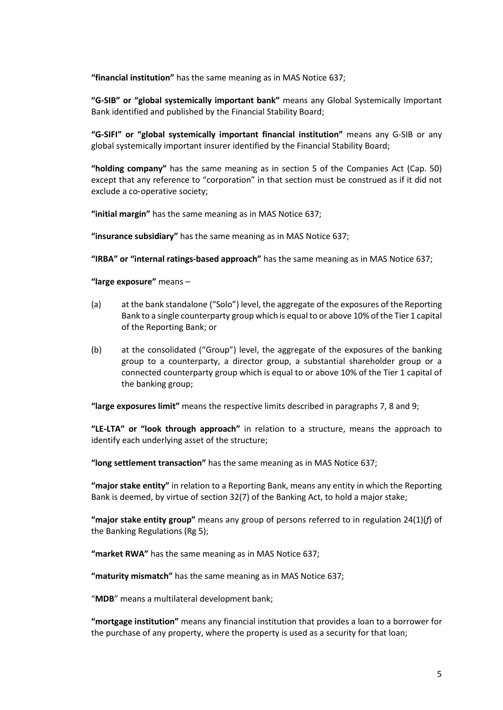**"financial institution"** has the same meaning as in MAS Notice 637;

**"G-SIB" or "global systemically important bank"** means any Global Systemically Important Bank identified and published by the Financial Stability Board;

**"G-SIFI" or "global systemically important financial institution"** means any G*-*SIB or any global systemically important insurer identified by the Financial Stability Board;

**"holding company"** has the same meaning as in section 5 of the Companies Act (Cap. 50) except that any reference to "corporation" in that section must be construed as if it did not exclude a co‑operative society;

**"initial margin"** has the same meaning as in MAS Notice 637;

**"insurance subsidiary"** has the same meaning as in MAS Notice 637;

**"IRBA" or "internal ratings-based approach"** has the same meaning as in MAS Notice 637;

**"large exposure"** means –

- (a) at the bank standalone ("Solo") level, the aggregate of the exposures of the Reporting Bank to a single counterparty group which is equal to or above 10% of the Tier 1 capital of the Reporting Bank; or
- (b) at the consolidated ("Group") level, the aggregate of the exposures of the banking group to a counterparty, a director group, a substantial shareholder group or a connected counterparty group which is equal to or above 10% of the Tier 1 capital of the banking group;

**"large exposures limit"** means the respective limits described in paragraphs 7, 8 and 9;

**"LE-LTA" or "look through approach"** in relation to a structure, means the approach to identify each underlying asset of the structure;

**"long settlement transaction"** has the same meaning as in MAS Notice 637;

**"major stake entity"** in relation to a Reporting Bank, means any entity in which the Reporting Bank is deemed, by virtue of section 32(7) of the Banking Act, to hold a major stake;

**"major stake entity group"** means any group of persons referred to in regulation 24(1)(*f*) of the Banking Regulations (Rg 5);

**"market RWA"** has the same meaning as in MAS Notice 637;

**"maturity mismatch"** has the same meaning as in MAS Notice 637;

"**MDB**" means a multilateral development bank;

**"mortgage institution"** means any financial institution that provides a loan to a borrower for the purchase of any property, where the property is used as a security for that loan;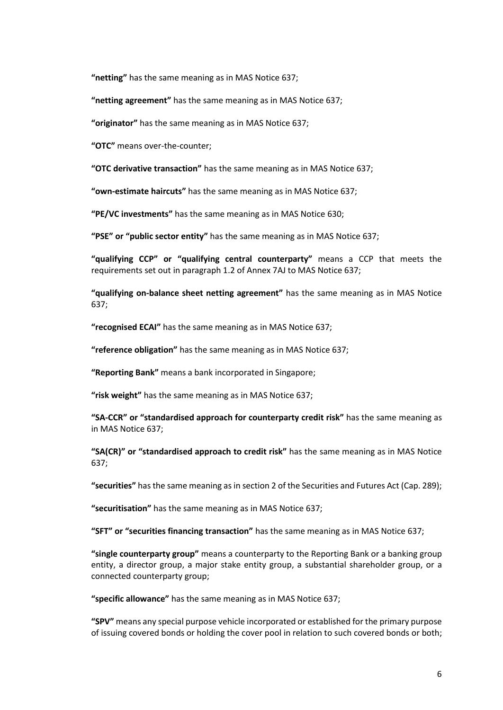**"netting"** has the same meaning as in MAS Notice 637;

**"netting agreement"** has the same meaning as in MAS Notice 637;

**"originator"** has the same meaning as in MAS Notice 637;

**"OTC"** means over-the-counter;

**"OTC derivative transaction"** has the same meaning as in MAS Notice 637;

**"own-estimate haircuts"** has the same meaning as in MAS Notice 637;

**"PE/VC investments"** has the same meaning as in MAS Notice 630;

**"PSE" or "public sector entity"** has the same meaning as in MAS Notice 637;

**"qualifying CCP" or "qualifying central counterparty"** means a CCP that meets the requirements set out in paragraph 1.2 of Annex 7AJ to MAS Notice 637;

**"qualifying on-balance sheet netting agreement"** has the same meaning as in MAS Notice 637;

**"recognised ECAI"** has the same meaning as in MAS Notice 637;

**"reference obligation"** has the same meaning as in MAS Notice 637;

**"Reporting Bank"** means a bank incorporated in Singapore;

**"risk weight"** has the same meaning as in MAS Notice 637;

**"SA-CCR" or "standardised approach for counterparty credit risk"** has the same meaning as in MAS Notice 637;

**"SA(CR)" or "standardised approach to credit risk"** has the same meaning as in MAS Notice 637;

**"securities"** has the same meaning as in section 2 of the Securities and Futures Act (Cap. 289);

**"securitisation"** has the same meaning as in MAS Notice 637;

**"SFT" or "securities financing transaction"** has the same meaning as in MAS Notice 637;

**"single counterparty group"** means a counterparty to the Reporting Bank or a banking group entity, a director group, a major stake entity group, a substantial shareholder group, or a connected counterparty group;

**"specific allowance"** has the same meaning as in MAS Notice 637;

**"SPV"** means any special purpose vehicle incorporated or established for the primary purpose of issuing covered bonds or holding the cover pool in relation to such covered bonds or both;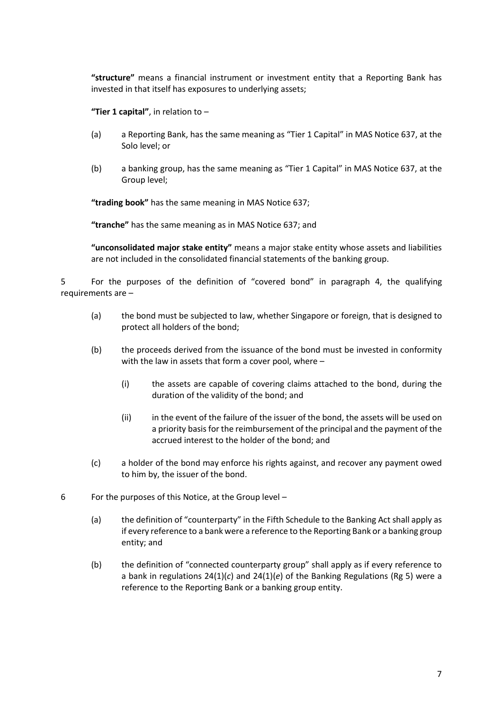**"structure"** means a financial instrument or investment entity that a Reporting Bank has invested in that itself has exposures to underlying assets;

**"Tier 1 capital"**, in relation to –

- (a) a Reporting Bank, has the same meaning as "Tier 1 Capital" in MAS Notice 637, at the Solo level; or
- (b) a banking group, has the same meaning as "Tier 1 Capital" in MAS Notice 637, at the Group level;

**"trading book"** has the same meaning in MAS Notice 637;

**"tranche"** has the same meaning as in MAS Notice 637; and

**"unconsolidated major stake entity"** means a major stake entity whose assets and liabilities are not included in the consolidated financial statements of the banking group.

5 For the purposes of the definition of "covered bond" in paragraph 4, the qualifying requirements are –

- (a) the bond must be subjected to law, whether Singapore or foreign, that is designed to protect all holders of the bond;
- (b) the proceeds derived from the issuance of the bond must be invested in conformity with the law in assets that form a cover pool, where –
	- (i) the assets are capable of covering claims attached to the bond, during the duration of the validity of the bond; and
	- (ii) in the event of the failure of the issuer of the bond, the assets will be used on a priority basis for the reimbursement of the principal and the payment of the accrued interest to the holder of the bond; and
- (c) a holder of the bond may enforce his rights against, and recover any payment owed to him by, the issuer of the bond.
- 6 For the purposes of this Notice, at the Group level
	- (a) the definition of "counterparty" in the Fifth Schedule to the Banking Act shall apply as if every reference to a bank were a reference to the Reporting Bank or a banking group entity; and
	- (b) the definition of "connected counterparty group" shall apply as if every reference to a bank in regulations 24(1)(*c*) and 24(1)(*e*) of the Banking Regulations (Rg 5) were a reference to the Reporting Bank or a banking group entity.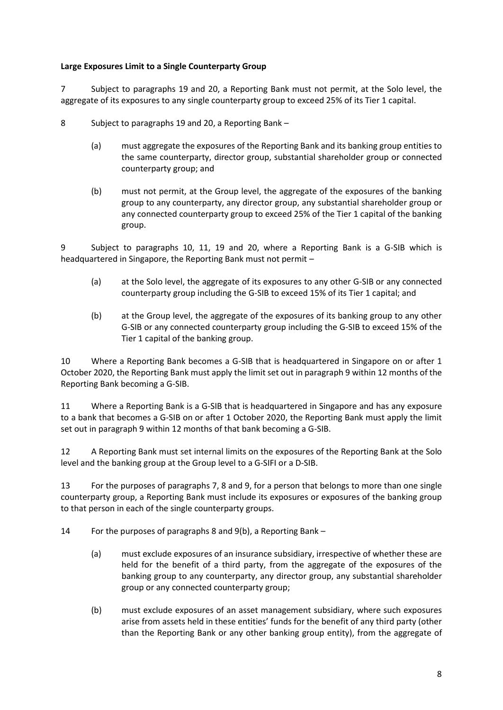## **Large Exposures Limit to a Single Counterparty Group**

7 Subject to paragraphs 19 and 20, a Reporting Bank must not permit, at the Solo level, the aggregate of its exposures to any single counterparty group to exceed 25% of its Tier 1 capital.

- 8 Subject to paragraphs 19 and 20, a Reporting Bank
	- (a) must aggregate the exposures of the Reporting Bank and its banking group entities to the same counterparty, director group, substantial shareholder group or connected counterparty group; and
	- (b) must not permit, at the Group level, the aggregate of the exposures of the banking group to any counterparty, any director group, any substantial shareholder group or any connected counterparty group to exceed 25% of the Tier 1 capital of the banking group.

9 Subject to paragraphs 10, 11, 19 and 20, where a Reporting Bank is a G-SIB which is headquartered in Singapore, the Reporting Bank must not permit –

- (a) at the Solo level, the aggregate of its exposures to any other G-SIB or any connected counterparty group including the G-SIB to exceed 15% of its Tier 1 capital; and
- (b) at the Group level, the aggregate of the exposures of its banking group to any other G-SIB or any connected counterparty group including the G-SIB to exceed 15% of the Tier 1 capital of the banking group.

10 Where a Reporting Bank becomes a G-SIB that is headquartered in Singapore on or after 1 October 2020, the Reporting Bank must apply the limit set out in paragraph 9 within 12 months of the Reporting Bank becoming a G-SIB.

11 Where a Reporting Bank is a G-SIB that is headquartered in Singapore and has any exposure to a bank that becomes a G-SIB on or after 1 October 2020, the Reporting Bank must apply the limit set out in paragraph 9 within 12 months of that bank becoming a G-SIB.

12 A Reporting Bank must set internal limits on the exposures of the Reporting Bank at the Solo level and the banking group at the Group level to a G-SIFI or a D-SIB.

13 For the purposes of paragraphs 7, 8 and 9, for a person that belongs to more than one single counterparty group, a Reporting Bank must include its exposures or exposures of the banking group to that person in each of the single counterparty groups.

14 For the purposes of paragraphs 8 and 9(b), a Reporting Bank –

- (a) must exclude exposures of an insurance subsidiary, irrespective of whether these are held for the benefit of a third party, from the aggregate of the exposures of the banking group to any counterparty, any director group, any substantial shareholder group or any connected counterparty group;
- (b) must exclude exposures of an asset management subsidiary, where such exposures arise from assets held in these entities' funds for the benefit of any third party (other than the Reporting Bank or any other banking group entity), from the aggregate of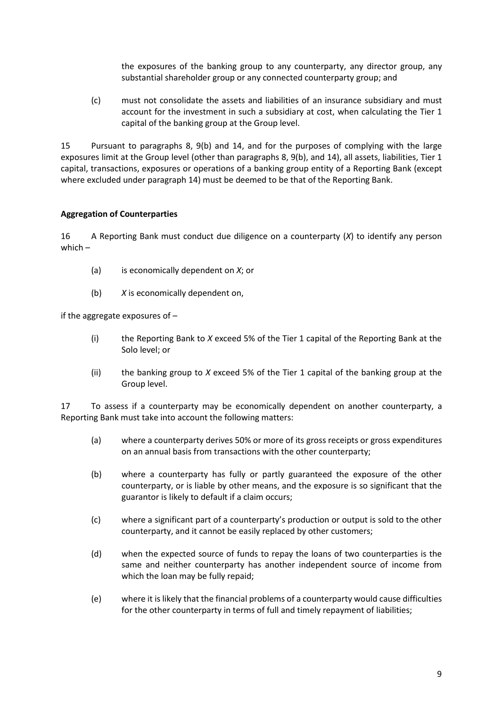the exposures of the banking group to any counterparty, any director group, any substantial shareholder group or any connected counterparty group; and

(c) must not consolidate the assets and liabilities of an insurance subsidiary and must account for the investment in such a subsidiary at cost, when calculating the Tier 1 capital of the banking group at the Group level.

15 Pursuant to paragraphs 8, 9(b) and 14, and for the purposes of complying with the large exposures limit at the Group level (other than paragraphs 8, 9(b), and 14), all assets, liabilities, Tier 1 capital, transactions, exposures or operations of a banking group entity of a Reporting Bank (except where excluded under paragraph 14) must be deemed to be that of the Reporting Bank.

## **Aggregation of Counterparties**

16 A Reporting Bank must conduct due diligence on a counterparty (*X*) to identify any person which –

- (a) is economically dependent on *X*; or
- (b) *X* is economically dependent on,

if the aggregate exposures of –

- (i) the Reporting Bank to *X* exceed 5% of the Tier 1 capital of the Reporting Bank at the Solo level; or
- (ii) the banking group to *X* exceed 5% of the Tier 1 capital of the banking group at the Group level.

17 To assess if a counterparty may be economically dependent on another counterparty, a Reporting Bank must take into account the following matters:

- (a) where a counterparty derives 50% or more of its gross receipts or gross expenditures on an annual basis from transactions with the other counterparty;
- (b) where a counterparty has fully or partly guaranteed the exposure of the other counterparty, or is liable by other means, and the exposure is so significant that the guarantor is likely to default if a claim occurs;
- (c) where a significant part of a counterparty's production or output is sold to the other counterparty, and it cannot be easily replaced by other customers;
- (d) when the expected source of funds to repay the loans of two counterparties is the same and neither counterparty has another independent source of income from which the loan may be fully repaid;
- (e) where it is likely that the financial problems of a counterparty would cause difficulties for the other counterparty in terms of full and timely repayment of liabilities;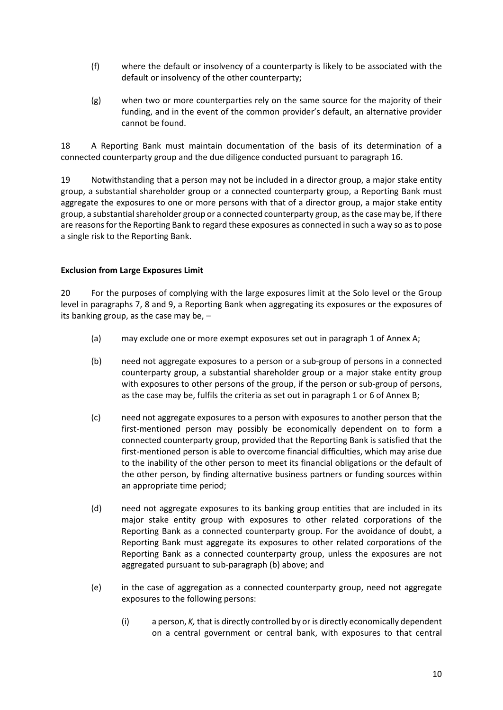- (f) where the default or insolvency of a counterparty is likely to be associated with the default or insolvency of the other counterparty;
- (g) when two or more counterparties rely on the same source for the majority of their funding, and in the event of the common provider's default, an alternative provider cannot be found.

18 A Reporting Bank must maintain documentation of the basis of its determination of a connected counterparty group and the due diligence conducted pursuant to paragraph 16.

19 Notwithstanding that a person may not be included in a director group, a major stake entity group, a substantial shareholder group or a connected counterparty group, a Reporting Bank must aggregate the exposures to one or more persons with that of a director group, a major stake entity group, a substantial shareholder group or a connected counterparty group, as the case may be, if there are reasons for the Reporting Bank to regard these exposures as connected in such a way so as to pose a single risk to the Reporting Bank.

#### **Exclusion from Large Exposures Limit**

20 For the purposes of complying with the large exposures limit at the Solo level or the Group level in paragraphs 7, 8 and 9, a Reporting Bank when aggregating its exposures or the exposures of its banking group, as the case may be, –

- (a) may exclude one or more exempt exposures set out in paragraph 1 of Annex A;
- (b) need not aggregate exposures to a person or a sub-group of persons in a connected counterparty group, a substantial shareholder group or a major stake entity group with exposures to other persons of the group, if the person or sub-group of persons, as the case may be, fulfils the criteria as set out in paragraph 1 or 6 of Annex B;
- (c) need not aggregate exposures to a person with exposures to another person that the first-mentioned person may possibly be economically dependent on to form a connected counterparty group, provided that the Reporting Bank is satisfied that the first-mentioned person is able to overcome financial difficulties, which may arise due to the inability of the other person to meet its financial obligations or the default of the other person, by finding alternative business partners or funding sources within an appropriate time period;
- (d) need not aggregate exposures to its banking group entities that are included in its major stake entity group with exposures to other related corporations of the Reporting Bank as a connected counterparty group. For the avoidance of doubt, a Reporting Bank must aggregate its exposures to other related corporations of the Reporting Bank as a connected counterparty group, unless the exposures are not aggregated pursuant to sub-paragraph (b) above; and
- (e) in the case of aggregation as a connected counterparty group, need not aggregate exposures to the following persons:
	- (i) a person, *K,* that is directly controlled by or is directly economically dependent on a central government or central bank, with exposures to that central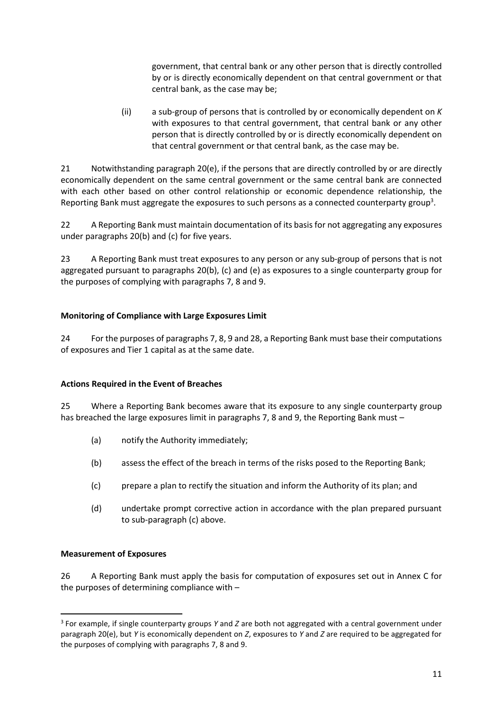government, that central bank or any other person that is directly controlled by or is directly economically dependent on that central government or that central bank, as the case may be;

(ii) a sub-group of persons that is controlled by or economically dependent on *K* with exposures to that central government, that central bank or any other person that is directly controlled by or is directly economically dependent on that central government or that central bank, as the case may be.

21 Notwithstanding paragraph 20(e), if the persons that are directly controlled by or are directly economically dependent on the same central government or the same central bank are connected with each other based on other control relationship or economic dependence relationship, the Reporting Bank must aggregate the exposures to such persons as a connected counterparty group<sup>3</sup>.

22 A Reporting Bank must maintain documentation of its basis for not aggregating any exposures under paragraphs 20(b) and (c) for five years.

23 A Reporting Bank must treat exposures to any person or any sub-group of persons that is not aggregated pursuant to paragraphs 20(b), (c) and (e) as exposures to a single counterparty group for the purposes of complying with paragraphs 7, 8 and 9.

# **Monitoring of Compliance with Large Exposures Limit**

24 For the purposes of paragraphs 7, 8, 9 and 28, a Reporting Bank must base their computations of exposures and Tier 1 capital as at the same date.

## **Actions Required in the Event of Breaches**

25 Where a Reporting Bank becomes aware that its exposure to any single counterparty group has breached the large exposures limit in paragraphs 7, 8 and 9, the Reporting Bank must –

- (a) notify the Authority immediately;
- (b) assess the effect of the breach in terms of the risks posed to the Reporting Bank;
- (c) prepare a plan to rectify the situation and inform the Authority of its plan; and
- (d) undertake prompt corrective action in accordance with the plan prepared pursuant to sub-paragraph (c) above.

## **Measurement of Exposures**

1

26 A Reporting Bank must apply the basis for computation of exposures set out in Annex C for the purposes of determining compliance with –

<sup>3</sup> For example, if single counterparty groups *Y* and *Z* are both not aggregated with a central government under paragraph 20(e), but *Y* is economically dependent on *Z*, exposures to *Y* and *Z* are required to be aggregated for the purposes of complying with paragraphs 7, 8 and 9.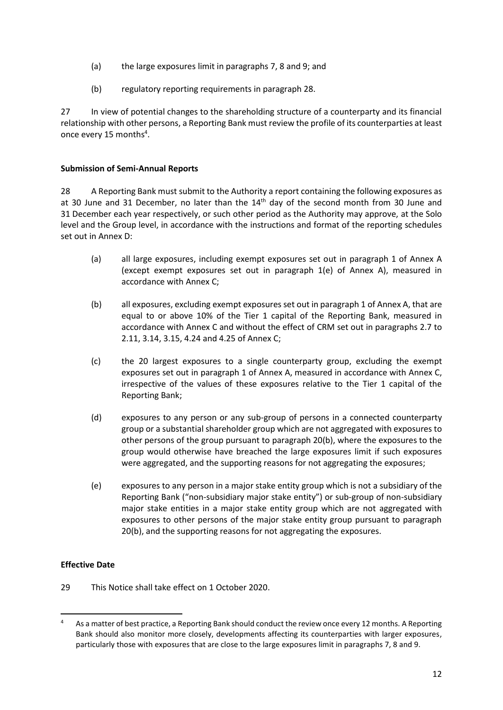- (a) the large exposures limit in paragraphs 7, 8 and 9; and
- (b) regulatory reporting requirements in paragraph 28.

27 In view of potential changes to the shareholding structure of a counterparty and its financial relationship with other persons, a Reporting Bank must review the profile of its counterparties at least once every 15 months<sup>4</sup>.

#### **Submission of Semi-Annual Reports**

28 A Reporting Bank must submit to the Authority a report containing the following exposures as at 30 June and 31 December, no later than the  $14<sup>th</sup>$  day of the second month from 30 June and 31 December each year respectively, or such other period as the Authority may approve, at the Solo level and the Group level, in accordance with the instructions and format of the reporting schedules set out in Annex D:

- (a) all large exposures, including exempt exposures set out in paragraph 1 of Annex A (except exempt exposures set out in paragraph 1(e) of Annex A), measured in accordance with Annex C;
- (b) all exposures, excluding exempt exposures set out in paragraph 1 of Annex A, that are equal to or above 10% of the Tier 1 capital of the Reporting Bank, measured in accordance with Annex C and without the effect of CRM set out in paragraphs 2.7 to 2.11, 3.14, 3.15, 4.24 and 4.25 of Annex C;
- (c) the 20 largest exposures to a single counterparty group, excluding the exempt exposures set out in paragraph 1 of Annex A, measured in accordance with Annex C, irrespective of the values of these exposures relative to the Tier 1 capital of the Reporting Bank;
- (d) exposures to any person or any sub-group of persons in a connected counterparty group or a substantial shareholder group which are not aggregated with exposures to other persons of the group pursuant to paragraph 20(b), where the exposures to the group would otherwise have breached the large exposures limit if such exposures were aggregated, and the supporting reasons for not aggregating the exposures;
- (e) exposures to any person in a major stake entity group which is not a subsidiary of the Reporting Bank ("non-subsidiary major stake entity") or sub-group of non-subsidiary major stake entities in a major stake entity group which are not aggregated with exposures to other persons of the major stake entity group pursuant to paragraph 20(b), and the supporting reasons for not aggregating the exposures.

## **Effective Date**

1

29 This Notice shall take effect on 1 October 2020.

<sup>&</sup>lt;sup>4</sup> As a matter of best practice, a Reporting Bank should conduct the review once every 12 months. A Reporting Bank should also monitor more closely, developments affecting its counterparties with larger exposures, particularly those with exposures that are close to the large exposures limit in paragraphs 7, 8 and 9.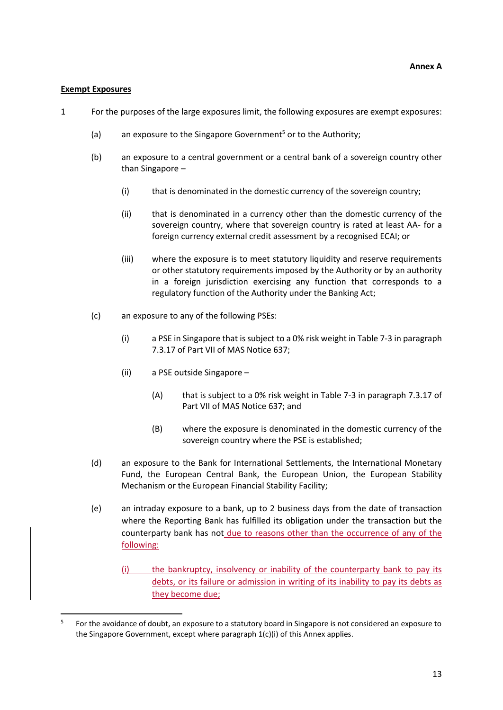#### **Exempt Exposures**

1

- 1 For the purposes of the large exposures limit, the following exposures are exempt exposures:
	- (a) an exposure to the Singapore Government<sup>5</sup> or to the Authority:
	- (b) an exposure to a central government or a central bank of a sovereign country other than Singapore –
		- (i) that is denominated in the domestic currency of the sovereign country;
		- (ii) that is denominated in a currency other than the domestic currency of the sovereign country, where that sovereign country is rated at least AA- for a foreign currency external credit assessment by a recognised ECAI; or
		- (iii) where the exposure is to meet statutory liquidity and reserve requirements or other statutory requirements imposed by the Authority or by an authority in a foreign jurisdiction exercising any function that corresponds to a regulatory function of the Authority under the Banking Act;
	- (c) an exposure to any of the following PSEs:
		- (i) a PSE in Singapore that is subject to a 0% risk weight in Table 7-3 in paragraph 7.3.17 of Part VII of MAS Notice 637;
		- (ii) a PSE outside Singapore
			- (A) that is subject to a 0% risk weight in Table 7-3 in paragraph 7.3.17 of Part VII of MAS Notice 637; and
			- (B) where the exposure is denominated in the domestic currency of the sovereign country where the PSE is established;
	- (d) an exposure to the Bank for International Settlements, the International Monetary Fund, the European Central Bank, the European Union, the European Stability Mechanism or the European Financial Stability Facility;
	- (e) an intraday exposure to a bank, up to 2 business days from the date of transaction where the Reporting Bank has fulfilled its obligation under the transaction but the counterparty bank has not due to reasons other than the occurrence of any of the following:
		- (i) the bankruptcy, insolvency or inability of the counterparty bank to pay its debts, or its failure or admission in writing of its inability to pay its debts as they become due;

<sup>5</sup> For the avoidance of doubt, an exposure to a statutory board in Singapore is not considered an exposure to the Singapore Government, except where paragraph 1(c)(i) of this Annex applies.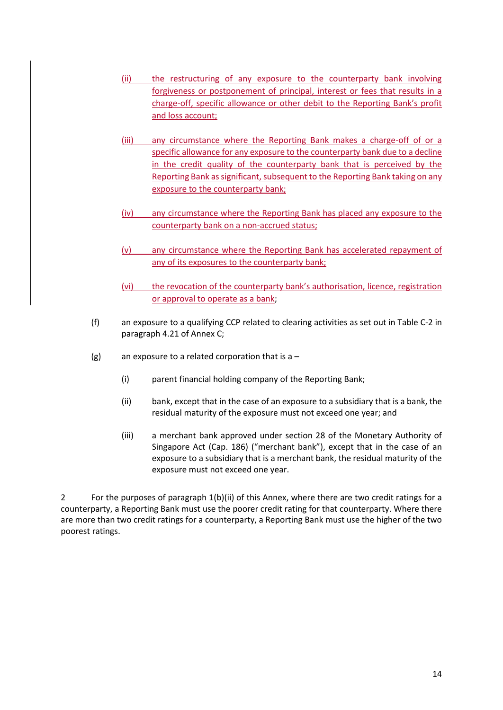- (ii) the restructuring of any exposure to the counterparty bank involving forgiveness or postponement of principal, interest or fees that results in a charge-off, specific allowance or other debit to the Reporting Bank's profit and loss account;
- (iii) any circumstance where the Reporting Bank makes a charge-off of or a specific allowance for any exposure to the counterparty bank due to a decline in the credit quality of the counterparty bank that is perceived by the Reporting Bank as significant, subsequent to the Reporting Bank taking on any exposure to the counterparty bank;
- (iv) any circumstance where the Reporting Bank has placed any exposure to the counterparty bank on a non-accrued status;
- (v) any circumstance where the Reporting Bank has accelerated repayment of any of its exposures to the counterparty bank;
- (vi) the revocation of the counterparty bank's authorisation, licence, registration or approval to operate as a bank;
- (f) an exposure to a qualifying CCP related to clearing activities as set out in Table C-2 in paragraph 4.21 of Annex C;
- (g) an exposure to a related corporation that is  $a -$ 
	- (i) parent financial holding company of the Reporting Bank;
	- (ii) bank, except that in the case of an exposure to a subsidiary that is a bank, the residual maturity of the exposure must not exceed one year; and
	- (iii) a merchant bank approved under section 28 of the Monetary Authority of Singapore Act (Cap. 186) ("merchant bank"), except that in the case of an exposure to a subsidiary that is a merchant bank, the residual maturity of the exposure must not exceed one year.

2 For the purposes of paragraph 1(b)(ii) of this Annex, where there are two credit ratings for a counterparty, a Reporting Bank must use the poorer credit rating for that counterparty. Where there are more than two credit ratings for a counterparty, a Reporting Bank must use the higher of the two poorest ratings.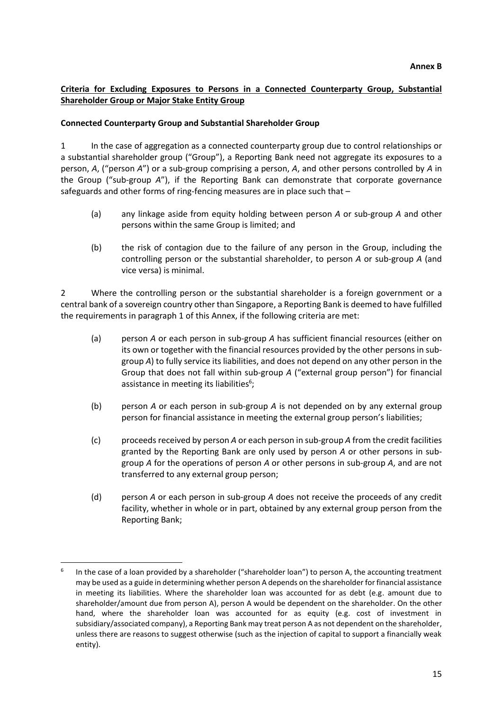## **Criteria for Excluding Exposures to Persons in a Connected Counterparty Group, Substantial Shareholder Group or Major Stake Entity Group**

#### **Connected Counterparty Group and Substantial Shareholder Group**

1 In the case of aggregation as a connected counterparty group due to control relationships or a substantial shareholder group ("Group"), a Reporting Bank need not aggregate its exposures to a person, *A*, ("person *A*") or a sub-group comprising a person, *A*, and other persons controlled by *A* in the Group ("sub-group *A*"), if the Reporting Bank can demonstrate that corporate governance safeguards and other forms of ring-fencing measures are in place such that –

- (a) any linkage aside from equity holding between person *A* or sub-group *A* and other persons within the same Group is limited; and
- (b) the risk of contagion due to the failure of any person in the Group, including the controlling person or the substantial shareholder, to person *A* or sub-group *A* (and vice versa) is minimal.

2 Where the controlling person or the substantial shareholder is a foreign government or a central bank of a sovereign country other than Singapore, a Reporting Bank is deemed to have fulfilled the requirements in paragraph 1 of this Annex, if the following criteria are met:

- (a) person *A* or each person in sub-group *A* has sufficient financial resources (either on its own or together with the financial resources provided by the other persons in subgroup *A*) to fully service its liabilities, and does not depend on any other person in the Group that does not fall within sub-group *A* ("external group person") for financial assistance in meeting its liabilities<sup>6</sup>;
- (b) person *A* or each person in sub-group *A* is not depended on by any external group person for financial assistance in meeting the external group person's liabilities;
- (c) proceeds received by person *A* or each person in sub-group *A* from the credit facilities granted by the Reporting Bank are only used by person *A* or other persons in subgroup *A* for the operations of person *A* or other persons in sub-group *A*, and are not transferred to any external group person;
- (d) person *A* or each person in sub-group *A* does not receive the proceeds of any credit facility, whether in whole or in part, obtained by any external group person from the Reporting Bank;

1

<sup>6</sup> In the case of a loan provided by a shareholder ("shareholder loan") to person A, the accounting treatment may be used as a guide in determining whether person A depends on the shareholder for financial assistance in meeting its liabilities. Where the shareholder loan was accounted for as debt (e.g. amount due to shareholder/amount due from person A), person A would be dependent on the shareholder. On the other hand, where the shareholder loan was accounted for as equity (e.g. cost of investment in subsidiary/associated company), a Reporting Bank may treat person A as not dependent on the shareholder, unless there are reasons to suggest otherwise (such as the injection of capital to support a financially weak entity).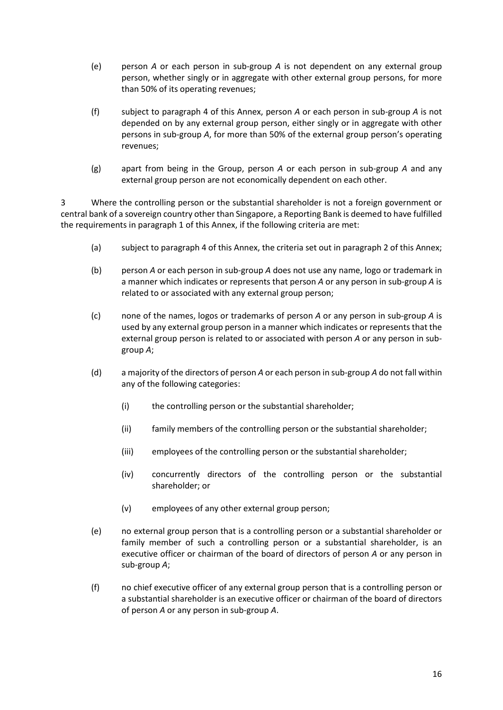- (e) person *A* or each person in sub-group *A* is not dependent on any external group person, whether singly or in aggregate with other external group persons, for more than 50% of its operating revenues;
- (f) subject to paragraph 4 of this Annex, person *A* or each person in sub-group *A* is not depended on by any external group person, either singly or in aggregate with other persons in sub-group *A*, for more than 50% of the external group person's operating revenues;
- (g) apart from being in the Group, person *A* or each person in sub-group *A* and any external group person are not economically dependent on each other.

3 Where the controlling person or the substantial shareholder is not a foreign government or central bank of a sovereign country other than Singapore, a Reporting Bank is deemed to have fulfilled the requirements in paragraph 1 of this Annex, if the following criteria are met:

- (a) subject to paragraph 4 of this Annex, the criteria set out in paragraph 2 of this Annex;
- (b) person *A* or each person in sub-group *A* does not use any name, logo or trademark in a manner which indicates or represents that person *A* or any person in sub-group *A* is related to or associated with any external group person;
- (c) none of the names, logos or trademarks of person *A* or any person in sub-group *A* is used by any external group person in a manner which indicates or represents that the external group person is related to or associated with person *A* or any person in subgroup *A*;
- (d) a majority of the directors of person *A* or each person in sub-group *A* do not fall within any of the following categories:
	- (i) the controlling person or the substantial shareholder;
	- (ii) family members of the controlling person or the substantial shareholder;
	- (iii) employees of the controlling person or the substantial shareholder;
	- (iv) concurrently directors of the controlling person or the substantial shareholder; or
	- (v) employees of any other external group person;
- (e) no external group person that is a controlling person or a substantial shareholder or family member of such a controlling person or a substantial shareholder, is an executive officer or chairman of the board of directors of person *A* or any person in sub-group *A*;
- (f) no chief executive officer of any external group person that is a controlling person or a substantial shareholder is an executive officer or chairman of the board of directors of person *A* or any person in sub-group *A*.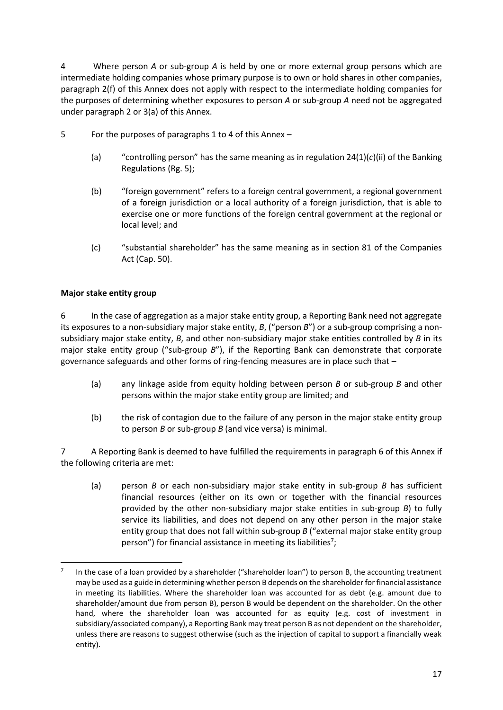4 Where person *A* or sub-group *A* is held by one or more external group persons which are intermediate holding companies whose primary purpose is to own or hold shares in other companies, paragraph 2(f) of this Annex does not apply with respect to the intermediate holding companies for the purposes of determining whether exposures to person *A* or sub-group *A* need not be aggregated under paragraph 2 or 3(a) of this Annex.

- 5 For the purposes of paragraphs 1 to 4 of this Annex
	- (a) "controlling person" has the same meaning as in regulation  $24(1)(c)(ii)$  of the Banking Regulations (Rg. 5);
	- (b) "foreign government" refers to a foreign central government, a regional government of a foreign jurisdiction or a local authority of a foreign jurisdiction, that is able to exercise one or more functions of the foreign central government at the regional or local level; and
	- (c) "substantial shareholder" has the same meaning as in section 81 of the Companies Act (Cap. 50).

## **Major stake entity group**

1

6 In the case of aggregation as a major stake entity group, a Reporting Bank need not aggregate its exposures to a non-subsidiary major stake entity, *B*, ("person *B*") or a sub-group comprising a nonsubsidiary major stake entity, *B*, and other non-subsidiary major stake entities controlled by *B* in its major stake entity group ("sub-group *B*"), if the Reporting Bank can demonstrate that corporate governance safeguards and other forms of ring-fencing measures are in place such that –

- (a) any linkage aside from equity holding between person *B* or sub-group *B* and other persons within the major stake entity group are limited; and
- (b) the risk of contagion due to the failure of any person in the major stake entity group to person *B* or sub-group *B* (and vice versa) is minimal.

7 A Reporting Bank is deemed to have fulfilled the requirements in paragraph 6 of this Annex if the following criteria are met:

(a) person *B* or each non-subsidiary major stake entity in sub-group *B* has sufficient financial resources (either on its own or together with the financial resources provided by the other non-subsidiary major stake entities in sub-group *B*) to fully service its liabilities, and does not depend on any other person in the major stake entity group that does not fall within sub-group *B* ("external major stake entity group person") for financial assistance in meeting its liabilities<sup>7</sup>;

<sup>7</sup> In the case of a loan provided by a shareholder ("shareholder loan") to person B, the accounting treatment may be used as a guide in determining whether person B depends on the shareholder for financial assistance in meeting its liabilities. Where the shareholder loan was accounted for as debt (e.g. amount due to shareholder/amount due from person B), person B would be dependent on the shareholder. On the other hand, where the shareholder loan was accounted for as equity (e.g. cost of investment in subsidiary/associated company), a Reporting Bank may treat person B as not dependent on the shareholder, unless there are reasons to suggest otherwise (such as the injection of capital to support a financially weak entity).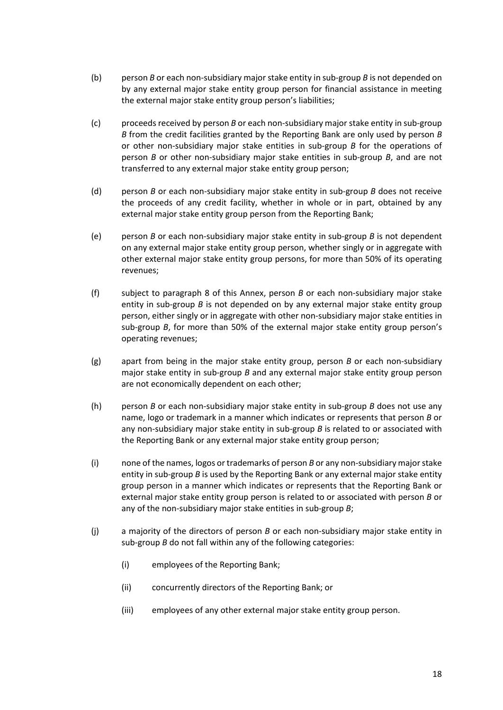- (b) person *B* or each non-subsidiary major stake entity in sub-group *B* is not depended on by any external major stake entity group person for financial assistance in meeting the external major stake entity group person's liabilities;
- (c) proceeds received by person *B* or each non-subsidiary major stake entity in sub-group *B* from the credit facilities granted by the Reporting Bank are only used by person *B* or other non-subsidiary major stake entities in sub-group *B* for the operations of person *B* or other non-subsidiary major stake entities in sub-group *B*, and are not transferred to any external major stake entity group person;
- (d) person *B* or each non-subsidiary major stake entity in sub-group *B* does not receive the proceeds of any credit facility, whether in whole or in part, obtained by any external major stake entity group person from the Reporting Bank;
- (e) person *B* or each non-subsidiary major stake entity in sub-group *B* is not dependent on any external major stake entity group person, whether singly or in aggregate with other external major stake entity group persons, for more than 50% of its operating revenues;
- (f) subject to paragraph 8 of this Annex, person *B* or each non-subsidiary major stake entity in sub-group *B* is not depended on by any external major stake entity group person, either singly or in aggregate with other non-subsidiary major stake entities in sub-group *B*, for more than 50% of the external major stake entity group person's operating revenues;
- (g) apart from being in the major stake entity group, person *B* or each non-subsidiary major stake entity in sub-group *B* and any external major stake entity group person are not economically dependent on each other;
- (h) person *B* or each non-subsidiary major stake entity in sub-group *B* does not use any name, logo or trademark in a manner which indicates or represents that person *B* or any non-subsidiary major stake entity in sub-group *B* is related to or associated with the Reporting Bank or any external major stake entity group person;
- (i) none of the names, logos or trademarks of person *B* or any non-subsidiary major stake entity in sub-group *B* is used by the Reporting Bank or any external major stake entity group person in a manner which indicates or represents that the Reporting Bank or external major stake entity group person is related to or associated with person *B* or any of the non-subsidiary major stake entities in sub-group *B*;
- (j) a majority of the directors of person *B* or each non-subsidiary major stake entity in sub-group *B* do not fall within any of the following categories:
	- (i) employees of the Reporting Bank;
	- (ii) concurrently directors of the Reporting Bank; or
	- (iii) employees of any other external major stake entity group person.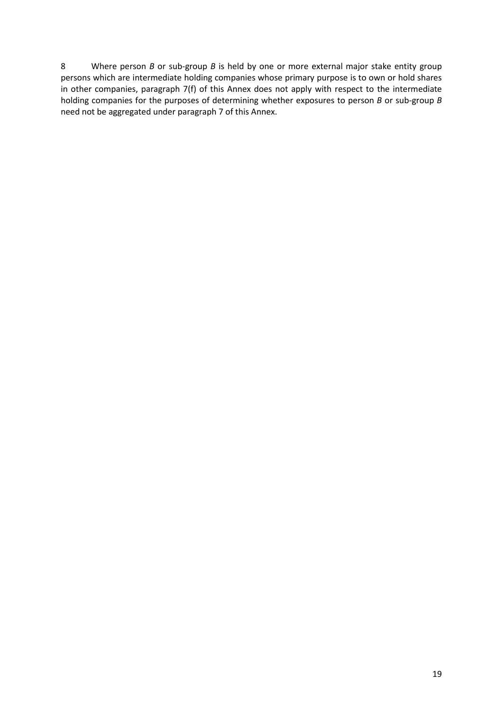8 Where person *B* or sub-group *B* is held by one or more external major stake entity group persons which are intermediate holding companies whose primary purpose is to own or hold shares in other companies, paragraph 7(f) of this Annex does not apply with respect to the intermediate holding companies for the purposes of determining whether exposures to person *B* or sub-group *B* need not be aggregated under paragraph 7 of this Annex.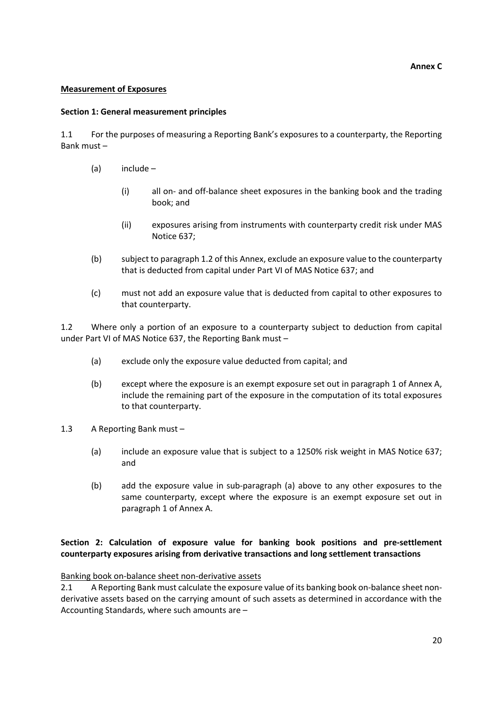#### **Annex C**

#### **Measurement of Exposures**

#### **Section 1: General measurement principles**

1.1 For the purposes of measuring a Reporting Bank's exposures to a counterparty, the Reporting Bank must –

- (a) include
	- (i) all on- and off-balance sheet exposures in the banking book and the trading book; and
	- (ii) exposures arising from instruments with counterparty credit risk under MAS Notice 637;
- (b) subject to paragraph 1.2 of this Annex, exclude an exposure value to the counterparty that is deducted from capital under Part VI of MAS Notice 637; and
- (c) must not add an exposure value that is deducted from capital to other exposures to that counterparty.

1.2 Where only a portion of an exposure to a counterparty subject to deduction from capital under Part VI of MAS Notice 637, the Reporting Bank must –

- (a) exclude only the exposure value deducted from capital; and
- (b) except where the exposure is an exempt exposure set out in paragraph 1 of Annex A, include the remaining part of the exposure in the computation of its total exposures to that counterparty.
- 1.3 A Reporting Bank must
	- (a) include an exposure value that is subject to a 1250% risk weight in MAS Notice 637; and
	- (b) add the exposure value in sub-paragraph (a) above to any other exposures to the same counterparty, except where the exposure is an exempt exposure set out in paragraph 1 of Annex A.

## **Section 2: Calculation of exposure value for banking book positions and pre-settlement counterparty exposures arising from derivative transactions and long settlement transactions**

Banking book on-balance sheet non-derivative assets

2.1 A Reporting Bank must calculate the exposure value of its banking book on-balance sheet nonderivative assets based on the carrying amount of such assets as determined in accordance with the Accounting Standards, where such amounts are –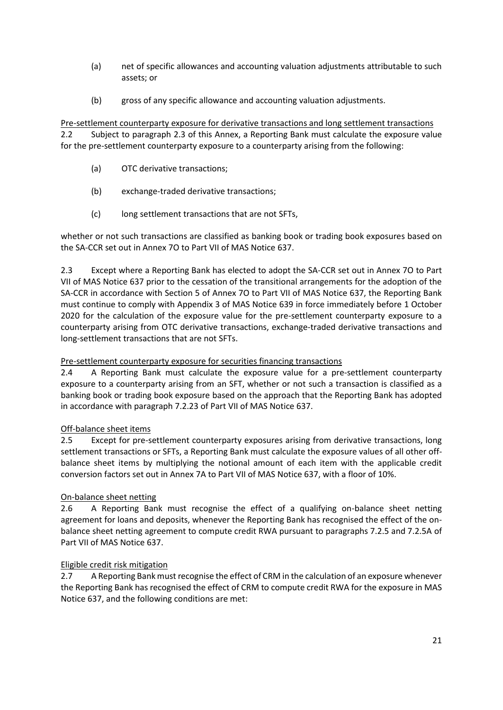- (a) net of specific allowances and accounting valuation adjustments attributable to such assets; or
- (b) gross of any specific allowance and accounting valuation adjustments.

Pre-settlement counterparty exposure for derivative transactions and long settlement transactions 2.2 Subject to paragraph 2.3 of this Annex, a Reporting Bank must calculate the exposure value for the pre-settlement counterparty exposure to a counterparty arising from the following:

- (a) OTC derivative transactions;
- (b) exchange-traded derivative transactions;
- (c) long settlement transactions that are not SFTs,

whether or not such transactions are classified as banking book or trading book exposures based on the SA-CCR set out in Annex 7O to Part VII of MAS Notice 637.

2.3 Except where a Reporting Bank has elected to adopt the SA-CCR set out in Annex 7O to Part VII of MAS Notice 637 prior to the cessation of the transitional arrangements for the adoption of the SA-CCR in accordance with Section 5 of Annex 7O to Part VII of MAS Notice 637, the Reporting Bank must continue to comply with Appendix 3 of MAS Notice 639 in force immediately before 1 October 2020 for the calculation of the exposure value for the pre-settlement counterparty exposure to a counterparty arising from OTC derivative transactions, exchange-traded derivative transactions and long-settlement transactions that are not SFTs.

## Pre-settlement counterparty exposure for securities financing transactions

2.4 A Reporting Bank must calculate the exposure value for a pre-settlement counterparty exposure to a counterparty arising from an SFT, whether or not such a transaction is classified as a banking book or trading book exposure based on the approach that the Reporting Bank has adopted in accordance with paragraph 7.2.23 of Part VII of MAS Notice 637.

## Off-balance sheet items

2.5 Except for pre-settlement counterparty exposures arising from derivative transactions, long settlement transactions or SFTs, a Reporting Bank must calculate the exposure values of all other offbalance sheet items by multiplying the notional amount of each item with the applicable credit conversion factors set out in Annex 7A to Part VII of MAS Notice 637, with a floor of 10%.

## On-balance sheet netting

2.6 A Reporting Bank must recognise the effect of a qualifying on-balance sheet netting agreement for loans and deposits, whenever the Reporting Bank has recognised the effect of the onbalance sheet netting agreement to compute credit RWA pursuant to paragraphs 7.2.5 and 7.2.5A of Part VII of MAS Notice 637.

## Eligible credit risk mitigation

2.7 A Reporting Bank must recognise the effect of CRM in the calculation of an exposure whenever the Reporting Bank has recognised the effect of CRM to compute credit RWA for the exposure in MAS Notice 637, and the following conditions are met: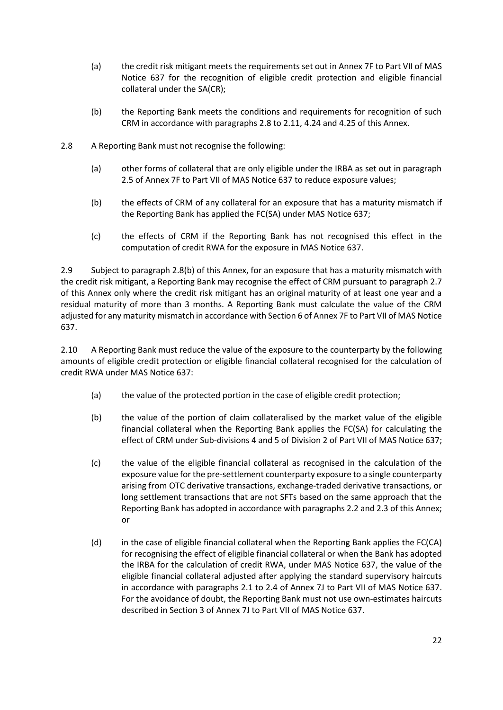- (a) the credit risk mitigant meets the requirements set out in Annex 7F to Part VII of MAS Notice 637 for the recognition of eligible credit protection and eligible financial collateral under the SA(CR);
- (b) the Reporting Bank meets the conditions and requirements for recognition of such CRM in accordance with paragraphs 2.8 to 2.11, 4.24 and 4.25 of this Annex.
- 2.8 A Reporting Bank must not recognise the following:
	- (a) other forms of collateral that are only eligible under the IRBA as set out in paragraph 2.5 of Annex 7F to Part VII of MAS Notice 637 to reduce exposure values;
	- (b) the effects of CRM of any collateral for an exposure that has a maturity mismatch if the Reporting Bank has applied the FC(SA) under MAS Notice 637;
	- (c) the effects of CRM if the Reporting Bank has not recognised this effect in the computation of credit RWA for the exposure in MAS Notice 637.

2.9 Subject to paragraph 2.8(b) of this Annex, for an exposure that has a maturity mismatch with the credit risk mitigant, a Reporting Bank may recognise the effect of CRM pursuant to paragraph 2.7 of this Annex only where the credit risk mitigant has an original maturity of at least one year and a residual maturity of more than 3 months. A Reporting Bank must calculate the value of the CRM adjusted for any maturity mismatch in accordance with Section 6 of Annex 7F to Part VII of MAS Notice 637.

2.10 A Reporting Bank must reduce the value of the exposure to the counterparty by the following amounts of eligible credit protection or eligible financial collateral recognised for the calculation of credit RWA under MAS Notice 637:

- (a) the value of the protected portion in the case of eligible credit protection;
- (b) the value of the portion of claim collateralised by the market value of the eligible financial collateral when the Reporting Bank applies the FC(SA) for calculating the effect of CRM under Sub-divisions 4 and 5 of Division 2 of Part VII of MAS Notice 637;
- (c) the value of the eligible financial collateral as recognised in the calculation of the exposure value for the pre-settlement counterparty exposure to a single counterparty arising from OTC derivative transactions, exchange-traded derivative transactions, or long settlement transactions that are not SFTs based on the same approach that the Reporting Bank has adopted in accordance with paragraphs 2.2 and 2.3 of this Annex; or
- (d) in the case of eligible financial collateral when the Reporting Bank applies the FC(CA) for recognising the effect of eligible financial collateral or when the Bank has adopted the IRBA for the calculation of credit RWA, under MAS Notice 637, the value of the eligible financial collateral adjusted after applying the standard supervisory haircuts in accordance with paragraphs 2.1 to 2.4 of Annex 7J to Part VII of MAS Notice 637. For the avoidance of doubt, the Reporting Bank must not use own-estimates haircuts described in Section 3 of Annex 7J to Part VII of MAS Notice 637.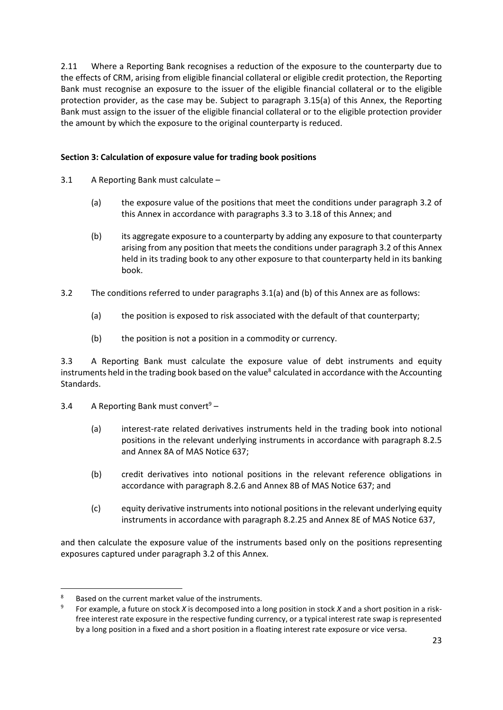2.11 Where a Reporting Bank recognises a reduction of the exposure to the counterparty due to the effects of CRM, arising from eligible financial collateral or eligible credit protection, the Reporting Bank must recognise an exposure to the issuer of the eligible financial collateral or to the eligible protection provider, as the case may be. Subject to paragraph 3.15(a) of this Annex, the Reporting Bank must assign to the issuer of the eligible financial collateral or to the eligible protection provider the amount by which the exposure to the original counterparty is reduced.

## **Section 3: Calculation of exposure value for trading book positions**

- 3.1 A Reporting Bank must calculate
	- (a) the exposure value of the positions that meet the conditions under paragraph 3.2 of this Annex in accordance with paragraphs 3.3 to 3.18 of this Annex; and
	- (b) its aggregate exposure to a counterparty by adding any exposure to that counterparty arising from any position that meets the conditions under paragraph 3.2 of this Annex held in its trading book to any other exposure to that counterparty held in its banking book.
- 3.2 The conditions referred to under paragraphs 3.1(a) and (b) of this Annex are as follows:
	- (a) the position is exposed to risk associated with the default of that counterparty;
	- (b) the position is not a position in a commodity or currency.

3.3 A Reporting Bank must calculate the exposure value of debt instruments and equity instruments held in the trading book based on the value<sup>8</sup> calculated in accordance with the Accounting Standards.

3.4 A Reporting Bank must convert<sup>9</sup> –

- (a) interest-rate related derivatives instruments held in the trading book into notional positions in the relevant underlying instruments in accordance with paragraph 8.2.5 and Annex 8A of MAS Notice 637;
- (b) credit derivatives into notional positions in the relevant reference obligations in accordance with paragraph 8.2.6 and Annex 8B of MAS Notice 637; and
- (c) equity derivative instruments into notional positions in the relevant underlying equity instruments in accordance with paragraph 8.2.25 and Annex 8E of MAS Notice 637,

and then calculate the exposure value of the instruments based only on the positions representing exposures captured under paragraph 3.2 of this Annex.

<sup>1</sup> Based on the current market value of the instruments.

<sup>9</sup> For example, a future on stock *X* is decomposed into a long position in stock *X* and a short position in a riskfree interest rate exposure in the respective funding currency, or a typical interest rate swap is represented by a long position in a fixed and a short position in a floating interest rate exposure or vice versa.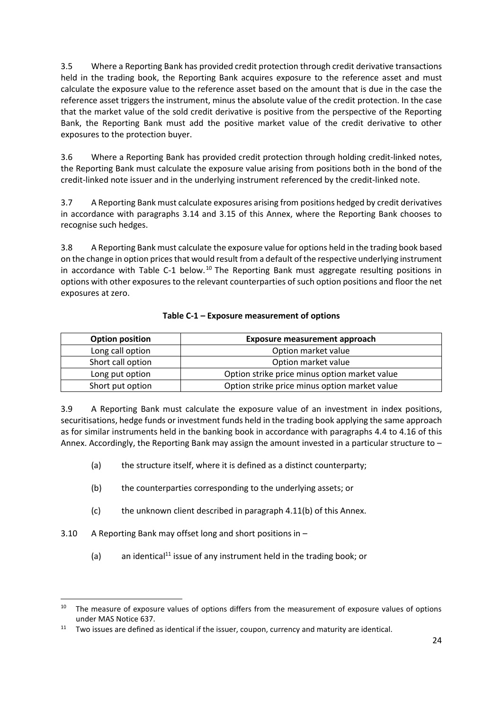3.5 Where a Reporting Bank has provided credit protection through credit derivative transactions held in the trading book, the Reporting Bank acquires exposure to the reference asset and must calculate the exposure value to the reference asset based on the amount that is due in the case the reference asset triggers the instrument, minus the absolute value of the credit protection. In the case that the market value of the sold credit derivative is positive from the perspective of the Reporting Bank, the Reporting Bank must add the positive market value of the credit derivative to other exposures to the protection buyer.

3.6 Where a Reporting Bank has provided credit protection through holding credit-linked notes, the Reporting Bank must calculate the exposure value arising from positions both in the bond of the credit-linked note issuer and in the underlying instrument referenced by the credit-linked note.

3.7 A Reporting Bank must calculate exposures arising from positions hedged by credit derivatives in accordance with paragraphs 3.14 and 3.15 of this Annex, where the Reporting Bank chooses to recognise such hedges.

3.8 A Reporting Bank must calculate the exposure value for options held in the trading book based on the change in option prices that would result from a default of the respective underlying instrument in accordance with Table C-1 below.<sup>10</sup> The Reporting Bank must aggregate resulting positions in options with other exposures to the relevant counterparties of such option positions and floor the net exposures at zero.

| <b>Option position</b> | <b>Exposure measurement approach</b>          |
|------------------------|-----------------------------------------------|
| Long call option       | Option market value                           |
| Short call option      | Option market value                           |
| Long put option        | Option strike price minus option market value |
| Short put option       | Option strike price minus option market value |

## **Table C-1 – Exposure measurement of options**

3.9 A Reporting Bank must calculate the exposure value of an investment in index positions, securitisations, hedge funds or investment funds held in the trading book applying the same approach as for similar instruments held in the banking book in accordance with paragraphs 4.4 to 4.16 of this Annex. Accordingly, the Reporting Bank may assign the amount invested in a particular structure to –

- (a) the structure itself, where it is defined as a distinct counterparty;
- (b) the counterparties corresponding to the underlying assets; or
- (c) the unknown client described in paragraph 4.11(b) of this Annex.
- 3.10 A Reporting Bank may offset long and short positions in –

**.** 

(a) an identical<sup>11</sup> issue of any instrument held in the trading book; or

<sup>&</sup>lt;sup>10</sup> The measure of exposure values of options differs from the measurement of exposure values of options under MAS Notice 637.

 $11$  Two issues are defined as identical if the issuer, coupon, currency and maturity are identical.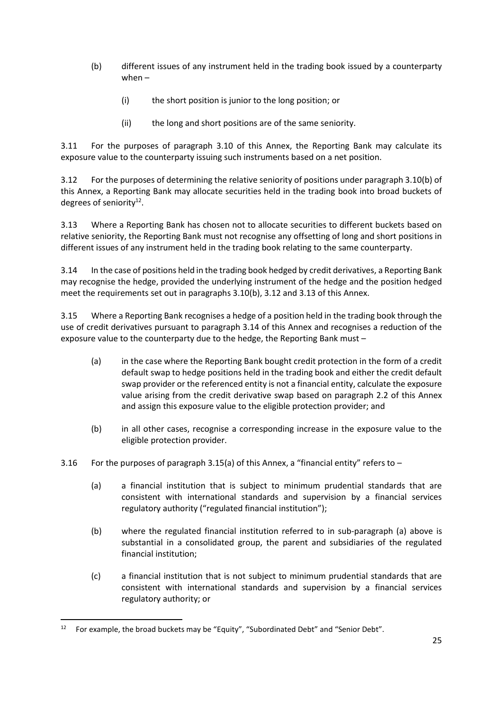- (b) different issues of any instrument held in the trading book issued by a counterparty when –
	- (i) the short position is junior to the long position; or
	- (ii) the long and short positions are of the same seniority.

3.11 For the purposes of paragraph 3.10 of this Annex, the Reporting Bank may calculate its exposure value to the counterparty issuing such instruments based on a net position.

3.12 For the purposes of determining the relative seniority of positions under paragraph 3.10(b) of this Annex, a Reporting Bank may allocate securities held in the trading book into broad buckets of degrees of seniority<sup>12</sup>.

3.13 Where a Reporting Bank has chosen not to allocate securities to different buckets based on relative seniority, the Reporting Bank must not recognise any offsetting of long and short positions in different issues of any instrument held in the trading book relating to the same counterparty.

3.14 In the case of positions held in the trading book hedged by credit derivatives, a Reporting Bank may recognise the hedge, provided the underlying instrument of the hedge and the position hedged meet the requirements set out in paragraphs 3.10(b), 3.12 and 3.13 of this Annex.

3.15 Where a Reporting Bank recognises a hedge of a position held in the trading book through the use of credit derivatives pursuant to paragraph 3.14 of this Annex and recognises a reduction of the exposure value to the counterparty due to the hedge, the Reporting Bank must –

- (a) in the case where the Reporting Bank bought credit protection in the form of a credit default swap to hedge positions held in the trading book and either the credit default swap provider or the referenced entity is not a financial entity, calculate the exposure value arising from the credit derivative swap based on paragraph 2.2 of this Annex and assign this exposure value to the eligible protection provider; and
- (b) in all other cases, recognise a corresponding increase in the exposure value to the eligible protection provider.
- 3.16 For the purposes of paragraph 3.15(a) of this Annex, a "financial entity" refers to  $-$ 
	- (a) a financial institution that is subject to minimum prudential standards that are consistent with international standards and supervision by a financial services regulatory authority ("regulated financial institution");
	- (b) where the regulated financial institution referred to in sub-paragraph (a) above is substantial in a consolidated group, the parent and subsidiaries of the regulated financial institution;
	- (c) a financial institution that is not subject to minimum prudential standards that are consistent with international standards and supervision by a financial services regulatory authority; or

1

<sup>&</sup>lt;sup>12</sup> For example, the broad buckets may be "Equity", "Subordinated Debt" and "Senior Debt".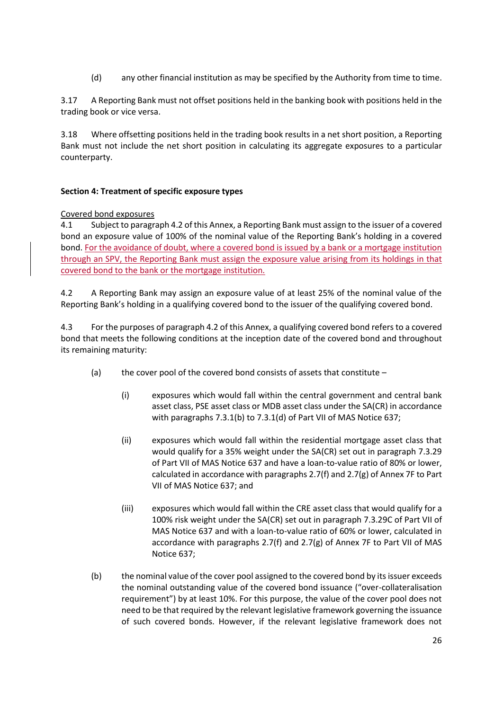(d) any other financial institution as may be specified by the Authority from time to time.

3.17 A Reporting Bank must not offset positions held in the banking book with positions held in the trading book or vice versa.

3.18 Where offsetting positions held in the trading book results in a net short position, a Reporting Bank must not include the net short position in calculating its aggregate exposures to a particular counterparty.

#### **Section 4: Treatment of specific exposure types**

#### Covered bond exposures

4.1 Subject to paragraph 4.2 of this Annex, a Reporting Bank must assign to the issuer of a covered bond an exposure value of 100% of the nominal value of the Reporting Bank's holding in a covered bond. For the avoidance of doubt, where a covered bond is issued by a bank or a mortgage institution through an SPV, the Reporting Bank must assign the exposure value arising from its holdings in that covered bond to the bank or the mortgage institution.

4.2 A Reporting Bank may assign an exposure value of at least 25% of the nominal value of the Reporting Bank's holding in a qualifying covered bond to the issuer of the qualifying covered bond.

4.3 For the purposes of paragraph 4.2 of this Annex, a qualifying covered bond refers to a covered bond that meets the following conditions at the inception date of the covered bond and throughout its remaining maturity:

- (a) the cover pool of the covered bond consists of assets that constitute
	- (i) exposures which would fall within the central government and central bank asset class, PSE asset class or MDB asset class under the SA(CR) in accordance with paragraphs 7.3.1(b) to 7.3.1(d) of Part VII of MAS Notice 637;
	- (ii) exposures which would fall within the residential mortgage asset class that would qualify for a 35% weight under the SA(CR) set out in paragraph 7.3.29 of Part VII of MAS Notice 637 and have a loan-to-value ratio of 80% or lower, calculated in accordance with paragraphs 2.7(f) and 2.7(g) of Annex 7F to Part VII of MAS Notice 637; and
	- (iii) exposures which would fall within the CRE asset class that would qualify for a 100% risk weight under the SA(CR) set out in paragraph 7.3.29C of Part VII of MAS Notice 637 and with a loan-to-value ratio of 60% or lower, calculated in accordance with paragraphs 2.7(f) and 2.7(g) of Annex 7F to Part VII of MAS Notice 637;
- (b) the nominal value of the cover pool assigned to the covered bond by its issuer exceeds the nominal outstanding value of the covered bond issuance ("over-collateralisation requirement") by at least 10%. For this purpose, the value of the cover pool does not need to be that required by the relevant legislative framework governing the issuance of such covered bonds. However, if the relevant legislative framework does not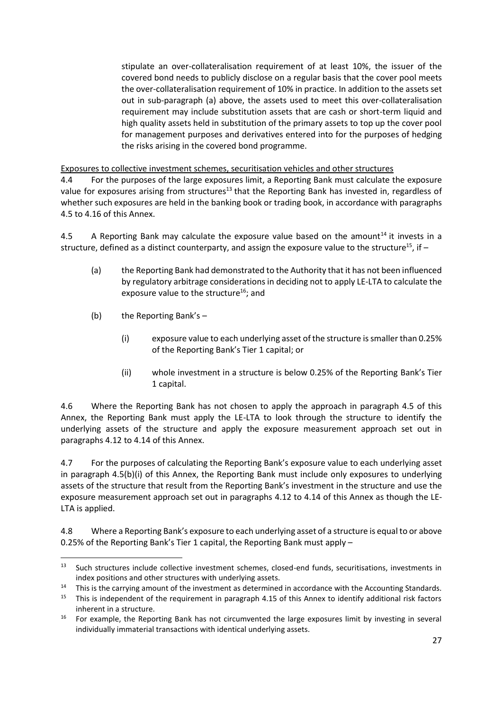stipulate an over-collateralisation requirement of at least 10%, the issuer of the covered bond needs to publicly disclose on a regular basis that the cover pool meets the over-collateralisation requirement of 10% in practice. In addition to the assets set out in sub-paragraph (a) above, the assets used to meet this over-collateralisation requirement may include substitution assets that are cash or short-term liquid and high quality assets held in substitution of the primary assets to top up the cover pool for management purposes and derivatives entered into for the purposes of hedging the risks arising in the covered bond programme.

Exposures to collective investment schemes, securitisation vehicles and other structures

4.4 For the purposes of the large exposures limit, a Reporting Bank must calculate the exposure value for exposures arising from structures<sup>13</sup> that the Reporting Bank has invested in, regardless of whether such exposures are held in the banking book or trading book, in accordance with paragraphs 4.5 to 4.16 of this Annex.

4.5 A Reporting Bank may calculate the exposure value based on the amount<sup>14</sup> it invests in a structure, defined as a distinct counterparty, and assign the exposure value to the structure<sup>15</sup>, if  $-$ 

- (a) the Reporting Bank had demonstrated to the Authority that it has not been influenced by regulatory arbitrage considerations in deciding not to apply LE-LTA to calculate the exposure value to the structure<sup>16</sup>; and
- (b) the Reporting Bank's –

**.** 

- <span id="page-26-0"></span>(i) exposure value to each underlying asset of the structure is smaller than 0.25% of the Reporting Bank's Tier 1 capital; or
- (ii) whole investment in a structure is below 0.25% of the Reporting Bank's Tier 1 capital.

4.6 Where the Reporting Bank has not chosen to apply the approach in paragraph 4.5 of this Annex, the Reporting Bank must apply the LE-LTA to look through the structure to identify the underlying assets of the structure and apply the exposure measurement approach set out in paragraphs 4.12 to 4.14 of this Annex.

4.7 For the purposes of calculating the Reporting Bank's exposure value to each underlying asset in paragraph 4.5(b)(i) of this Annex, the Reporting Bank must include only exposures to underlying assets of the structure that result from the Reporting Bank's investment in the structure and use the exposure measurement approach set out in paragraphs 4.12 to 4.14 of this Annex as though the LE-LTA is applied.

4.8 Where a Reporting Bank's exposure to each underlying asset of a structure is equal to or above 0.25% of the Reporting Bank's Tier 1 capital, the Reporting Bank must apply –

<sup>&</sup>lt;sup>13</sup> Such structures include collective investment schemes, closed-end funds, securitisations, investments in index positions and other structures with underlying assets.

<sup>&</sup>lt;sup>14</sup> This is the carrying amount of the investment as determined in accordance with the Accounting Standards.<br><sup>15</sup> This is independent of the requirement in paragraph 4.15 of this Annex to identify additional risk factors

<sup>15</sup> This is independent of the requirement in paragraph 4.15 of this Annex to identify additional risk factors inherent in a structure.

<sup>&</sup>lt;sup>16</sup> For example, the Reporting Bank has not circumvented the large exposures limit by investing in several individually immaterial transactions with identical underlying assets.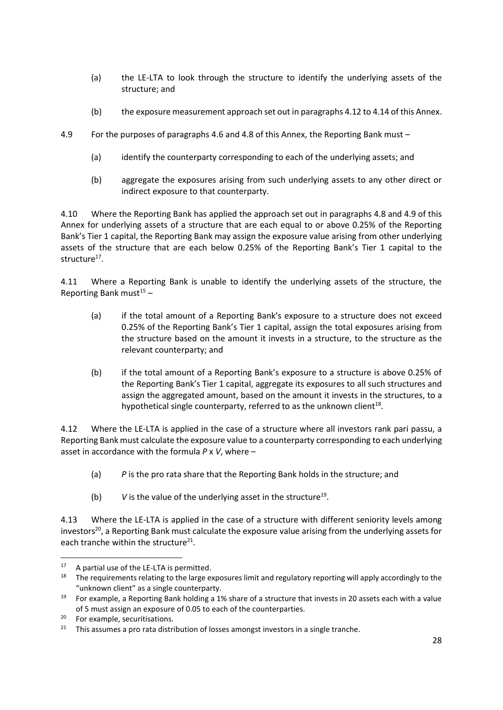- (a) the LE-LTA to look through the structure to identify the underlying assets of the structure; and
- (b) the exposure measurement approach set out in paragraphs 4.12 to 4.14 of this Annex.
- 4.9 For the purposes of paragraphs 4.6 and 4.8 of this Annex, the Reporting Bank must
	- (a) identify the counterparty corresponding to each of the underlying assets; and
	- (b) aggregate the exposures arising from such underlying assets to any other direct or indirect exposure to that counterparty.

4.10 Where the Reporting Bank has applied the approach set out in paragraphs 4.8 and 4.9 of this Annex for underlying assets of a structure that are each equal to or above 0.25% of the Reporting Bank's Tier 1 capital, the Reporting Bank may assign the exposure value arising from other underlying assets of the structure that are each below 0.25% of the Reporting Bank's Tier 1 capital to the structure<sup>17</sup>.

4.11 Where a Reporting Bank is unable to identify the underlying assets of the structure, the Reporting Bank must $15 15 -$ 

- (a) if the total amount of a Reporting Bank's exposure to a structure does not exceed 0.25% of the Reporting Bank's Tier 1 capital, assign the total exposures arising from the structure based on the amount it invests in a structure, to the structure as the relevant counterparty; and
- (b) if the total amount of a Reporting Bank's exposure to a structure is above 0.25% of the Reporting Bank's Tier 1 capital, aggregate its exposures to all such structures and assign the aggregated amount, based on the amount it invests in the structures, to a hypothetical single counterparty, referred to as the unknown client $^{18}$ .

4.12 Where the LE-LTA is applied in the case of a structure where all investors rank pari passu, a Reporting Bank must calculate the exposure value to a counterparty corresponding to each underlying asset in accordance with the formula *P* x *V*, where –

- (a) *P* is the pro rata share that the Reporting Bank holds in the structure; and
- (b)  $V$  is the value of the underlying asset in the structure<sup>19</sup>.

4.13 Where the LE-LTA is applied in the case of a structure with different seniority levels among investors<sup>20</sup>, a Reporting Bank must calculate the exposure value arising from the underlying assets for each tranche within the structure $^{21}$ .

**.** 

<sup>&</sup>lt;sup>17</sup> A partial use of the LE-LTA is permitted.

<sup>&</sup>lt;sup>18</sup> The requirements relating to the large exposures limit and regulatory reporting will apply accordingly to the "unknown client" as a single counterparty.

<sup>&</sup>lt;sup>19</sup> For example, a Reporting Bank holding a 1% share of a structure that invests in 20 assets each with a value of 5 must assign an exposure of 0.05 to each of the counterparties.

<sup>&</sup>lt;sup>20</sup> For example, securitisations.

<sup>&</sup>lt;sup>21</sup> This assumes a pro rata distribution of losses amongst investors in a single tranche.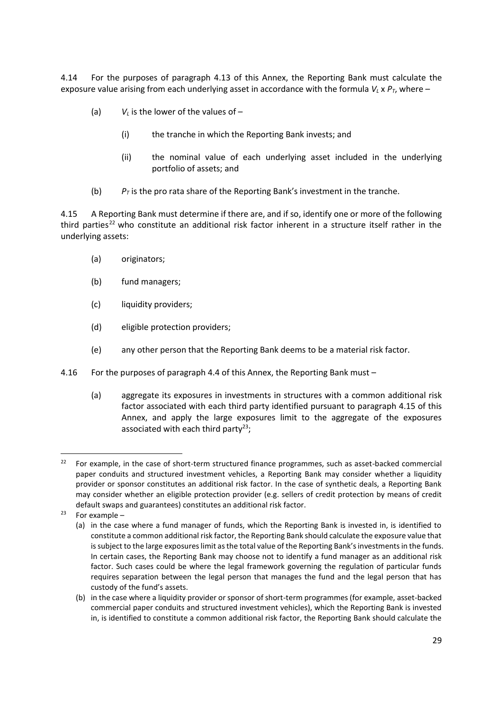4.14 For the purposes of paragraph 4.13 of this Annex, the Reporting Bank must calculate the exposure value arising from each underlying asset in accordance with the formula  $V_L \times P_T$ , where –

- (a)  $V_L$  is the lower of the values of  $-$ 
	- (i) the tranche in which the Reporting Bank invests; and
	- (ii) the nominal value of each underlying asset included in the underlying portfolio of assets; and
- (b)  $P_T$  is the pro rata share of the Reporting Bank's investment in the tranche.

4.15 A Reporting Bank must determine if there are, and if so, identify one or more of the following third parties<sup>22</sup> who constitute an additional risk factor inherent in a structure itself rather in the underlying assets:

- (a) originators;
- (b) fund managers;
- (c) liquidity providers;
- (d) eligible protection providers;
- (e) any other person that the Reporting Bank deems to be a material risk factor.
- 4.16 For the purposes of paragraph 4.4 of this Annex, the Reporting Bank must
	- (a) aggregate its exposures in investments in structures with a common additional risk factor associated with each third party identified pursuant to paragraph 4.15 of this Annex, and apply the large exposures limit to the aggregate of the exposures associated with each third party<sup>23</sup>;

**.** 

<sup>&</sup>lt;sup>22</sup> For example, in the case of short-term structured finance programmes, such as asset-backed commercial paper conduits and structured investment vehicles, a Reporting Bank may consider whether a liquidity provider or sponsor constitutes an additional risk factor. In the case of synthetic deals, a Reporting Bank may consider whether an eligible protection provider (e.g. sellers of credit protection by means of credit default swaps and guarantees) constitutes an additional risk factor.

 $23$  For example –

<sup>(</sup>a) in the case where a fund manager of funds, which the Reporting Bank is invested in, is identified to constitute a common additional risk factor, the Reporting Bank should calculate the exposure value that is subject to the large exposures limit as the total value of the Reporting Bank's investments in the funds. In certain cases, the Reporting Bank may choose not to identify a fund manager as an additional risk factor. Such cases could be where the legal framework governing the regulation of particular funds requires separation between the legal person that manages the fund and the legal person that has custody of the fund's assets.

<sup>(</sup>b) in the case where a liquidity provider or sponsor of short-term programmes (for example, asset-backed commercial paper conduits and structured investment vehicles), which the Reporting Bank is invested in, is identified to constitute a common additional risk factor, the Reporting Bank should calculate the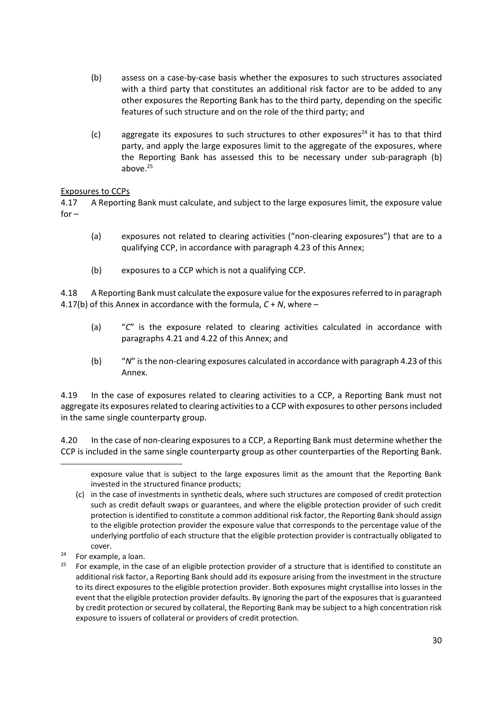- (b) assess on a case-by-case basis whether the exposures to such structures associated with a third party that constitutes an additional risk factor are to be added to any other exposures the Reporting Bank has to the third party, depending on the specific features of such structure and on the role of the third party; and
- (c) aggregate its exposures to such structures to other exposures<sup>24</sup> it has to that third party, and apply the large exposures limit to the aggregate of the exposures, where the Reporting Bank has assessed this to be necessary under sub-paragraph (b) above. 25

## Exposures to CCPs

4.17 A Reporting Bank must calculate, and subject to the large exposures limit, the exposure value  $for -$ 

- (a) exposures not related to clearing activities ("non-clearing exposures") that are to a qualifying CCP, in accordance with paragraph 4.23 of this Annex;
- (b) exposures to a CCP which is not a qualifying CCP.

4.18 A Reporting Bank must calculate the exposure value for the exposures referred to in paragraph 4.17(b) of this Annex in accordance with the formula, *C* + *N*, where –

- (a) "*C*" is the exposure related to clearing activities calculated in accordance with paragraphs 4.21 and 4.22 of this Annex; and
- (b) "*N*" is the non-clearing exposures calculated in accordance with paragraph 4.23 of this Annex.

4.19 In the case of exposures related to clearing activities to a CCP, a Reporting Bank must not aggregate its exposures related to clearing activities to a CCP with exposures to other persons included in the same single counterparty group.

4.20 In the case of non-clearing exposures to a CCP, a Reporting Bank must determine whether the CCP is included in the same single counterparty group as other counterparties of the Reporting Bank.

-

exposure value that is subject to the large exposures limit as the amount that the Reporting Bank invested in the structured finance products;

<sup>(</sup>c) in the case of investments in synthetic deals, where such structures are composed of credit protection such as credit default swaps or guarantees, and where the eligible protection provider of such credit protection is identified to constitute a common additional risk factor, the Reporting Bank should assign to the eligible protection provider the exposure value that corresponds to the percentage value of the underlying portfolio of each structure that the eligible protection provider is contractually obligated to cover.

 $24$  For example, a loan.

 $25$  For example, in the case of an eligible protection provider of a structure that is identified to constitute an additional risk factor, a Reporting Bank should add its exposure arising from the investment in the structure to its direct exposures to the eligible protection provider. Both exposures might crystallise into losses in the event that the eligible protection provider defaults. By ignoring the part of the exposures that is guaranteed by credit protection or secured by collateral, the Reporting Bank may be subject to a high concentration risk exposure to issuers of collateral or providers of credit protection.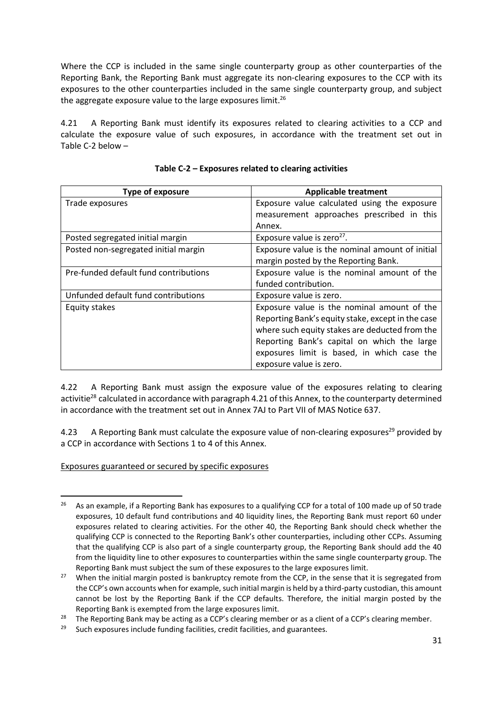Where the CCP is included in the same single counterparty group as other counterparties of the Reporting Bank, the Reporting Bank must aggregate its non-clearing exposures to the CCP with its exposures to the other counterparties included in the same single counterparty group, and subject the aggregate exposure value to the large exposures limit.<sup>26</sup>

4.21 A Reporting Bank must identify its exposures related to clearing activities to a CCP and calculate the exposure value of such exposures, in accordance with the treatment set out in Table C-2 below –

| Type of exposure                      | <b>Applicable treatment</b>                       |
|---------------------------------------|---------------------------------------------------|
| Trade exposures                       | Exposure value calculated using the exposure      |
|                                       | measurement approaches prescribed in this         |
|                                       | Annex.                                            |
| Posted segregated initial margin      | Exposure value is zero <sup>27</sup> .            |
| Posted non-segregated initial margin  | Exposure value is the nominal amount of initial   |
|                                       | margin posted by the Reporting Bank.              |
| Pre-funded default fund contributions | Exposure value is the nominal amount of the       |
|                                       | funded contribution.                              |
| Unfunded default fund contributions   | Exposure value is zero.                           |
| Equity stakes                         | Exposure value is the nominal amount of the       |
|                                       | Reporting Bank's equity stake, except in the case |
|                                       | where such equity stakes are deducted from the    |
|                                       | Reporting Bank's capital on which the large       |
|                                       | exposures limit is based, in which case the       |
|                                       | exposure value is zero.                           |

**Table C-2 – Exposures related to clearing activities**

4.22 A Reporting Bank must assign the exposure value of the exposures relating to clearing activitie<sup>28</sup> calculated in accordance with paragraph 4.21 of this Annex, to the counterparty determined in accordance with the treatment set out in Annex 7AJ to Part VII of MAS Notice 637.

4.23 A Reporting Bank must calculate the exposure value of non-clearing exposures<sup>29</sup> provided by a CCP in accordance with Sections 1 to 4 of this Annex.

Exposures guaranteed or secured by specific exposures

<sup>1</sup> <sup>26</sup> As an example, if a Reporting Bank has exposures to a qualifying CCP for a total of 100 made up of 50 trade exposures, 10 default fund contributions and 40 liquidity lines, the Reporting Bank must report 60 under exposures related to clearing activities. For the other 40, the Reporting Bank should check whether the qualifying CCP is connected to the Reporting Bank's other counterparties, including other CCPs. Assuming that the qualifying CCP is also part of a single counterparty group, the Reporting Bank should add the 40 from the liquidity line to other exposures to counterparties within the same single counterparty group. The Reporting Bank must subject the sum of these exposures to the large exposures limit.

<sup>&</sup>lt;sup>27</sup> When the initial margin posted is bankruptcy remote from the CCP, in the sense that it is segregated from the CCP's own accounts when for example, such initial margin is held by a third-party custodian, this amount cannot be lost by the Reporting Bank if the CCP defaults. Therefore, the initial margin posted by the Reporting Bank is exempted from the large exposures limit.

<sup>&</sup>lt;sup>28</sup> The Reporting Bank may be acting as a CCP's clearing member or as a client of a CCP's clearing member.<br><sup>29</sup> Such exposures include funding facilities, credit facilities, and guarantees.

Such exposures include funding facilities, credit facilities, and guarantees.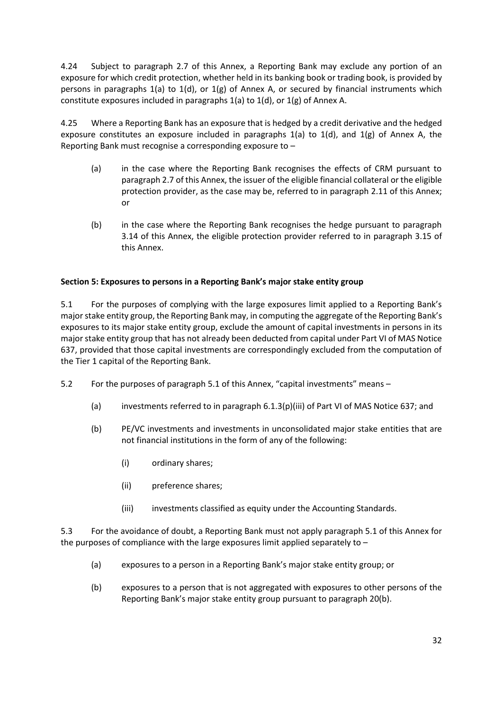4.24 Subject to paragraph 2.7 of this Annex, a Reporting Bank may exclude any portion of an exposure for which credit protection, whether held in its banking book or trading book, is provided by persons in paragraphs 1(a) to 1(d), or 1(g) of Annex A, or secured by financial instruments which constitute exposures included in paragraphs 1(a) to 1(d), or 1(g) of Annex A.

4.25 Where a Reporting Bank has an exposure that is hedged by a credit derivative and the hedged exposure constitutes an exposure included in paragraphs  $1(a)$  to  $1(d)$ , and  $1(g)$  of Annex A, the Reporting Bank must recognise a corresponding exposure to –

- (a) in the case where the Reporting Bank recognises the effects of CRM pursuant to paragraph 2.7 of this Annex, the issuer of the eligible financial collateral or the eligible protection provider, as the case may be, referred to in paragraph 2.11 of this Annex; or
- (b) in the case where the Reporting Bank recognises the hedge pursuant to paragraph 3.14 of this Annex, the eligible protection provider referred to in paragraph 3.15 of this Annex.

# **Section 5: Exposures to persons in a Reporting Bank's major stake entity group**

5.1 For the purposes of complying with the large exposures limit applied to a Reporting Bank's major stake entity group, the Reporting Bank may, in computing the aggregate of the Reporting Bank's exposures to its major stake entity group, exclude the amount of capital investments in persons in its major stake entity group that has not already been deducted from capital under Part VI of MAS Notice 637, provided that those capital investments are correspondingly excluded from the computation of the Tier 1 capital of the Reporting Bank.

- 5.2 For the purposes of paragraph 5.1 of this Annex, "capital investments" means
	- (a) investments referred to in paragraph 6.1.3(p)(iii) of Part VI of MAS Notice 637; and
	- (b) PE/VC investments and investments in unconsolidated major stake entities that are not financial institutions in the form of any of the following:
		- (i) ordinary shares;
		- (ii) preference shares;
		- (iii) investments classified as equity under the Accounting Standards.

5.3 For the avoidance of doubt, a Reporting Bank must not apply paragraph 5.1 of this Annex for the purposes of compliance with the large exposures limit applied separately to –

- (a) exposures to a person in a Reporting Bank's major stake entity group; or
- (b) exposures to a person that is not aggregated with exposures to other persons of the Reporting Bank's major stake entity group pursuant to paragraph 20(b).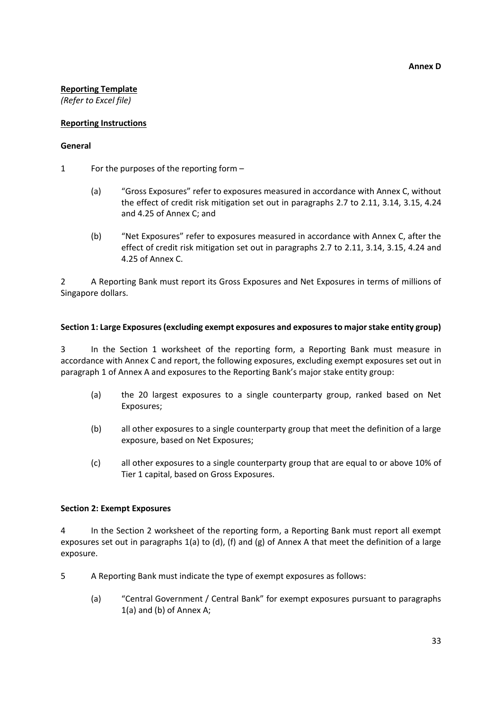#### **Reporting Template**

*(Refer to Excel file)*

#### **Reporting Instructions**

#### **General**

- 1 For the purposes of the reporting form
	- (a) "Gross Exposures" refer to exposures measured in accordance with Annex C, without the effect of credit risk mitigation set out in paragraphs 2.7 to 2.11, 3.14, 3.15, 4.24 and 4.25 of Annex C; and
	- (b) "Net Exposures" refer to exposures measured in accordance with Annex C, after the effect of credit risk mitigation set out in paragraphs 2.7 to 2.11, 3.14, 3.15, 4.24 and 4.25 of Annex C.

2 A Reporting Bank must report its Gross Exposures and Net Exposures in terms of millions of Singapore dollars.

#### **Section 1: Large Exposures (excluding exempt exposures and exposures to major stake entity group)**

3 In the Section 1 worksheet of the reporting form, a Reporting Bank must measure in accordance with Annex C and report, the following exposures, excluding exempt exposures set out in paragraph 1 of Annex A and exposures to the Reporting Bank's major stake entity group:

- (a) the 20 largest exposures to a single counterparty group, ranked based on Net Exposures;
- (b) all other exposures to a single counterparty group that meet the definition of a large exposure, based on Net Exposures;
- (c) all other exposures to a single counterparty group that are equal to or above 10% of Tier 1 capital, based on Gross Exposures.

#### **Section 2: Exempt Exposures**

4 In the Section 2 worksheet of the reporting form, a Reporting Bank must report all exempt exposures set out in paragraphs 1(a) to (d), (f) and (g) of Annex A that meet the definition of a large exposure.

- 5 A Reporting Bank must indicate the type of exempt exposures as follows:
	- (a) "Central Government / Central Bank" for exempt exposures pursuant to paragraphs 1(a) and (b) of Annex A;